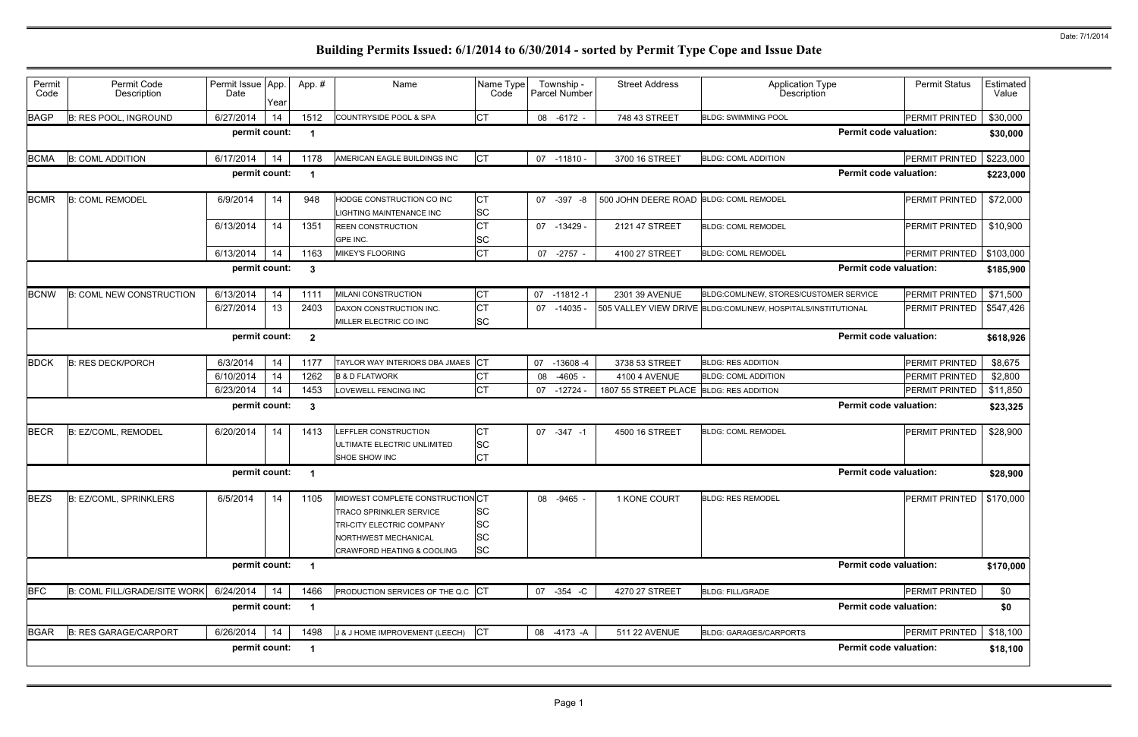| Permit<br>Code | Permit Code<br>Description          | Permit Issue App.<br>Date | Year | App.#          | Name                                                                                                                                                  | Name Type<br>Code                                |    | Township -<br>Parcel Number | <b>Street Address</b>                   | <b>Application Type</b><br>Description                       | <b>Permit Status</b>       | Estimated<br>Value |
|----------------|-------------------------------------|---------------------------|------|----------------|-------------------------------------------------------------------------------------------------------------------------------------------------------|--------------------------------------------------|----|-----------------------------|-----------------------------------------|--------------------------------------------------------------|----------------------------|--------------------|
| <b>BAGP</b>    | <b>B: RES POOL, INGROUND</b>        | 6/27/2014                 | 14   | 1512           | COUNTRYSIDE POOL & SPA                                                                                                                                | <b>CT</b>                                        |    | 08 -6172 -                  | 748 43 STREET                           | <b>BLDG: SWIMMING POOL</b>                                   | PERMIT PRINTED             | \$30,000           |
|                |                                     | permit count:             |      | -1             |                                                                                                                                                       |                                                  |    |                             |                                         | <b>Permit code valuation:</b>                                |                            | \$30,000           |
| <b>BCMA</b>    | <b>B: COML ADDITION</b>             | 6/17/2014                 | 14   | 1178           | AMERICAN EAGLE BUILDINGS INC                                                                                                                          | <b>CT</b>                                        |    | 07 -11810 -                 | 3700 16 STREET                          | <b>BLDG: COML ADDITION</b>                                   | PERMIT PRINTED             | \$223,000          |
|                |                                     | permit count:             |      | -1             |                                                                                                                                                       |                                                  |    |                             |                                         | <b>Permit code valuation:</b>                                |                            | \$223,000          |
| <b>BCMR</b>    | <b>B: COML REMODEL</b>              | 6/9/2014                  | 14   | 948            | HODGE CONSTRUCTION CO INC<br><b>IGHTING MAINTENANCE INC</b>                                                                                           | IСТ<br><b>SC</b>                                 | 07 | $-397 - 8$                  | 500 JOHN DEERE ROAD BLDG: COML REMODEL  |                                                              | <b>PERMIT PRINTED</b>      | \$72,000           |
|                |                                     | 6/13/2014                 | 14   | 1351           | <b>REEN CONSTRUCTION</b><br>GPE INC.                                                                                                                  | СT<br><b>SC</b>                                  |    | 07 -13429 -                 | 2121 47 STREET                          | <b>BLDG: COML REMODEL</b>                                    | <b>PERMIT PRINTED</b>      | \$10,900           |
|                |                                     | 6/13/2014                 | 14   | 1163           | MIKEY'S FLOORING                                                                                                                                      | <b>CT</b>                                        | 07 | $-2757 -$                   | 4100 27 STREET                          | <b>BLDG: COML REMODEL</b>                                    | PERMIT PRINTED             | \$103,000          |
|                |                                     | permit count:             |      | $\mathbf{3}$   |                                                                                                                                                       |                                                  |    |                             |                                         | <b>Permit code valuation:</b>                                |                            | \$185,900          |
| <b>BCNW</b>    | <b>B: COML NEW CONSTRUCTION</b>     | 6/13/2014                 | 14   | 1111           | MILANI CONSTRUCTION                                                                                                                                   | <b>CT</b>                                        | 07 | $-11812-1$                  | 2301 39 AVENUE                          | BLDG:COML/NEW, STORES/CUSTOMER SERVICE                       | <b>PERMIT PRINTED</b>      | \$71,500           |
|                |                                     | 6/27/2014                 | 13   | 2403           | DAXON CONSTRUCTION INC.                                                                                                                               | Iст                                              |    | $07 - 14035$                |                                         | 505 VALLEY VIEW DRIVE BLDG:COML/NEW, HOSPITALS/INSTITUTIONAL | <b>PERMIT PRINTED</b>      | \$547,426          |
|                |                                     |                           |      |                | MILLER ELECTRIC CO INC                                                                                                                                | <b>SC</b>                                        |    |                             |                                         |                                                              |                            |                    |
|                |                                     | permit count:             |      | $\overline{2}$ |                                                                                                                                                       |                                                  |    |                             |                                         | <b>Permit code valuation:</b>                                |                            | \$618,926          |
| <b>BDCK</b>    | <b>B: RES DECK/PORCH</b>            | 6/3/2014                  | 14   | 1177           | TAYLOR WAY INTERIORS DBA JMAES CT                                                                                                                     |                                                  | 07 | $-13608 - 4$                | 3738 53 STREET                          | <b>BLDG: RES ADDITION</b>                                    | <b>PERMIT PRINTED</b>      | \$8,675            |
|                |                                     | 6/10/2014                 | 14   | 1262           | <b>B &amp; D FLATWORK</b>                                                                                                                             | СT                                               | 08 | $-4605 -$                   | 4100 4 AVENUE                           | <b>BLDG: COML ADDITION</b>                                   | PERMIT PRINTED             | \$2,800            |
|                |                                     | 6/23/2014                 | 14   | 1453           | OVEWELL FENCING INC                                                                                                                                   | <b>CT</b>                                        | 07 | $-12724$ -                  | 1807 55 STREET PLACE BLDG: RES ADDITION |                                                              | PERMIT PRINTED             | \$11,850           |
|                |                                     | permit count:             |      | $\mathbf{3}$   |                                                                                                                                                       |                                                  |    |                             |                                         | <b>Permit code valuation:</b>                                |                            | \$23,325           |
| <b>BECR</b>    | B: EZ/COML, REMODEL                 | 6/20/2014                 | 14   | 1413           | <b>LEFFLER CONSTRUCTION</b><br>ULTIMATE ELECTRIC UNLIMITED<br><b>SHOE SHOW INC</b>                                                                    | Iст<br> SC<br>Iст                                |    | 07 - 347 - 1                | 4500 16 STREET                          | <b>BLDG: COML REMODEL</b>                                    | PERMIT PRINTED             | \$28,900           |
|                |                                     | permit count:             |      | -1             |                                                                                                                                                       |                                                  |    |                             |                                         | <b>Permit code valuation:</b>                                |                            | \$28,900           |
| <b>BEZS</b>    | <b>B: EZ/COML, SPRINKLERS</b>       | 6/5/2014                  | 14   | 1105           | MIDWEST COMPLETE CONSTRUCTION CT<br><b>TRACO SPRINKLER SERVICE</b><br>TRI-CITY ELECTRIC COMPANY<br>NORTHWEST MECHANICAL<br>CRAWFORD HEATING & COOLING | <b>SC</b><br><b>SC</b><br><b>SC</b><br><b>SC</b> |    | 08 -9465 -                  | 1 KONE COURT                            | <b>BLDG: RES REMODEL</b>                                     | PERMIT PRINTED   \$170,000 |                    |
|                |                                     | permit count:             | -1   |                |                                                                                                                                                       |                                                  |    |                             | <b>Permit code valuation:</b>           |                                                              | \$170,000                  |                    |
| <b>BFC</b>     | <b>B: COML FILL/GRADE/SITE WORK</b> | 6/24/2014                 | 14   | 1466           | PRODUCTION SERVICES OF THE Q.C CT                                                                                                                     |                                                  |    | 07 -354 -C                  | 4270 27 STREET                          | <b>BLDG: FILL/GRADE</b>                                      | PERMIT PRINTED             | \$0                |
|                |                                     | permit count:             |      | $\overline{1}$ |                                                                                                                                                       |                                                  |    |                             |                                         | <b>Permit code valuation:</b>                                |                            | \$0                |
| <b>BGAR</b>    | <b>B: RES GARAGE/CARPORT</b>        | 6/26/2014                 | 14   | 1498           | J & J HOME IMPROVEMENT (LEECH)                                                                                                                        | <b>CT</b>                                        |    | 08 -4173 -A                 | 511 22 AVENUE                           | <b>BLDG: GARAGES/CARPORTS</b>                                | PERMIT PRINTED             | \$18,100           |
|                |                                     | permit count:             |      | $\mathbf{1}$   |                                                                                                                                                       |                                                  |    |                             |                                         | <b>Permit code valuation:</b>                                |                            | \$18,100           |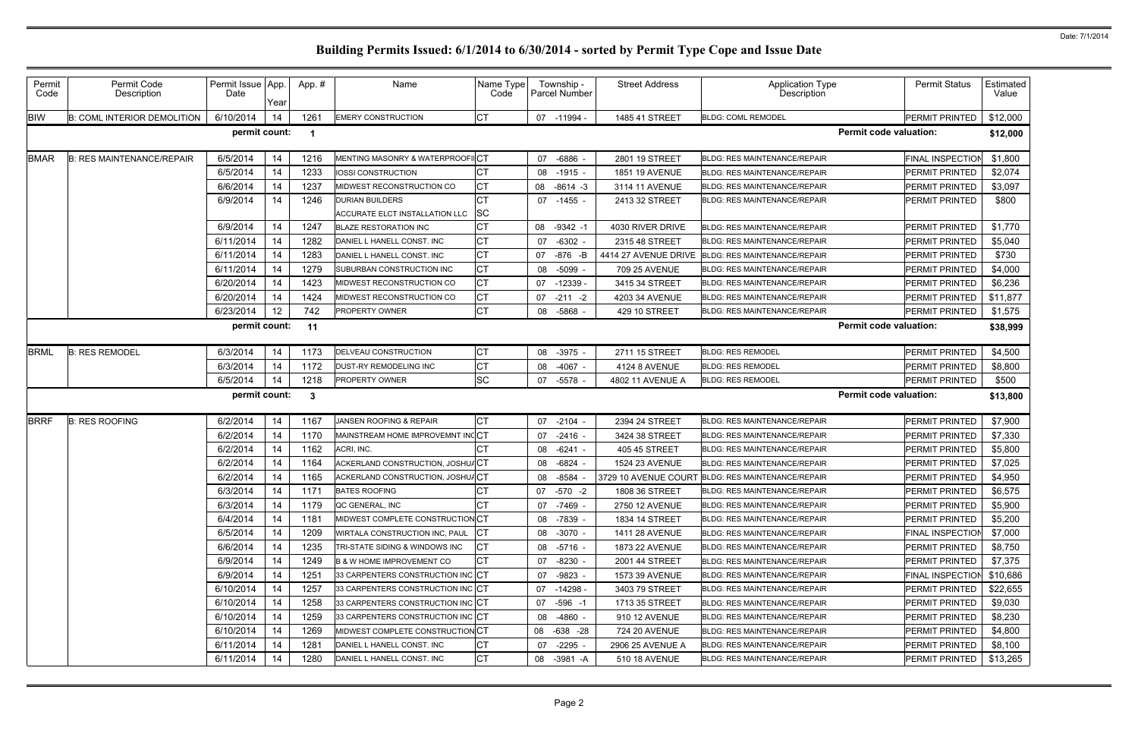| Permit<br>Code | Permit Code<br>Description         | Permit Issue App.<br>Date | Year | App.#        | Name                                                     | Name Type<br>Code | Township -<br>Parcel Number | <b>Street Address</b> | <b>Application Type</b><br><b>Description</b>     | <b>Permit Status</b>          | Estimated<br>Value |
|----------------|------------------------------------|---------------------------|------|--------------|----------------------------------------------------------|-------------------|-----------------------------|-----------------------|---------------------------------------------------|-------------------------------|--------------------|
| <b>BIW</b>     | <b>B: COML INTERIOR DEMOLITION</b> | 6/10/2014                 | 14   | 1261         | <b>EMERY CONSTRUCTION</b>                                | Iст               | 07<br>-11994 -              | 1485 41 STREET        | <b>BLDG: COML REMODEL</b>                         | PERMIT PRINTED                | \$12,000           |
|                |                                    | permit count:             |      | -1           |                                                          |                   |                             |                       |                                                   | <b>Permit code valuation:</b> | \$12,000           |
| <b>BMAR</b>    | <b>B: RES MAINTENANCE/REPAIR</b>   | 6/5/2014                  | 14   | 1216         | MENTING MASONRY & WATERPROOFIICT                         |                   | $-6886 -$<br>07             | 2801 19 STREET        | <b>BLDG: RES MAINTENANCE/REPAIR</b>               | <b>FINAL INSPECTION</b>       | \$1,800            |
|                |                                    | 6/5/2014                  | 14   | 1233         | IOSSI CONSTRUCTION                                       |                   | $-1915$<br>08               | 1851 19 AVENUE        | <b>BLDG: RES MAINTENANCE/REPAIR</b>               | PERMIT PRINTED                | \$2,074            |
|                |                                    | 6/6/2014                  | 14   | 1237         | <b>MIDWEST RECONSTRUCTION CO</b>                         | СT                | $-8614 - 3$<br>08           | 3114 11 AVENUE        | <b>BLDG: RES MAINTENANCE/REPAIR</b>               | <b>PERMIT PRINTED</b>         | \$3,097            |
|                |                                    | 6/9/2014                  | 14   | 1246         | <b>DURIAN BUILDERS</b><br>ACCURATE ELCT INSTALLATION LLC | <b>SC</b>         | 07 -1455 -                  | 2413 32 STREET        | <b>BLDG: RES MAINTENANCE/REPAIR</b>               | <b>PERMIT PRINTED</b>         | \$800              |
|                |                                    | 6/9/2014                  | 14   | 1247         | <b>BLAZE RESTORATION INC</b>                             |                   | 08 -9342 -1                 | 4030 RIVER DRIVE      | <b>BLDG: RES MAINTENANCE/REPAIR</b>               | <b>PERMIT PRINTED</b>         | \$1,770            |
|                |                                    | 6/11/2014                 | 14   | 1282         | DANIEL L HANELL CONST. INC                               | СT                | $-6302 -$<br>07             | 2315 48 STREET        | <b>BLDG: RES MAINTENANCE/REPAIR</b>               | <b>PERMIT PRINTED</b>         | \$5,040            |
|                |                                    | 6/11/2014                 | 14   | 1283         | DANIEL L HANELL CONST. INC                               | IСТ               | -876 -B<br>07               | 4414 27 AVENUE DRIVE  | <b>BLDG: RES MAINTENANCE/REPAIR</b>               | <b>PERMIT PRINTED</b>         | \$730              |
|                |                                    | 6/11/2014                 | 14   | 1279         | <b>SUBURBAN CONSTRUCTION INC</b>                         | IСТ               | $-5099 -$<br>08             | 709 25 AVENUE         | <b>BLDG: RES MAINTENANCE/REPAIR</b>               | PERMIT PRINTED                | \$4,000            |
|                |                                    | 6/20/2014                 | 14   | 1423         | MIDWEST RECONSTRUCTION CO                                | Iст               | $-12339$<br>07              | 3415 34 STREET        | <b>BLDG: RES MAINTENANCE/REPAIR</b>               | PERMIT PRINTED                | \$6,236            |
|                |                                    | 6/20/2014                 | 14   | 1424         | MIDWEST RECONSTRUCTION CO                                | IСТ               | $-211 - 2$<br>07            | 4203 34 AVENUE        | <b>BLDG: RES MAINTENANCE/REPAIR</b>               | PERMIT PRINTED                | \$11,877           |
|                |                                    | 6/23/2014                 | 12   | 742          | PROPERTY OWNER                                           | IСТ               | $-5868$<br>08               | 429 10 STREET         | <b>BLDG: RES MAINTENANCE/REPAIR</b>               | PERMIT PRINTED                | \$1,575            |
|                |                                    | permit count:             |      | 11           |                                                          |                   |                             |                       |                                                   | <b>Permit code valuation:</b> | \$38,999           |
| <b>BRML</b>    | <b>B: RES REMODEL</b>              | 6/3/2014                  | 14   | 1173         | <b>DELVEAU CONSTRUCTION</b>                              | СT                | 08 -3975                    | 2711 15 STREET        | <b>BLDG: RES REMODEL</b>                          | <b>PERMIT PRINTED</b>         | \$4,500            |
|                |                                    | 6/3/2014                  | 14   | 1172         | DUST-RY REMODELING INC                                   | IСТ               | $-4067 -$<br>08             | 4124 8 AVENUE         | <b>BLDG: RES REMODEL</b>                          | <b>PERMIT PRINTED</b>         | \$8,800            |
|                |                                    | 6/5/2014                  | -14  | 1218         | <b>PROPERTY OWNER</b>                                    | <b>SC</b>         | 07 -5578 -                  | 4802 11 AVENUE A      | <b>BLDG: RES REMODEL</b>                          | <b>PERMIT PRINTED</b>         | \$500              |
|                |                                    | permit count:             |      | $\mathbf{3}$ |                                                          |                   |                             |                       |                                                   | <b>Permit code valuation:</b> | \$13,800           |
| <b>BRRF</b>    | <b>B: RES ROOFING</b>              | 6/2/2014                  | 14   | 1167         | JANSEN ROOFING & REPAIR                                  | IСТ               | 07<br>-2104 -               | 2394 24 STREET        | <b>BLDG: RES MAINTENANCE/REPAIR</b>               | PERMIT PRINTED                | \$7,900            |
|                |                                    | 6/2/2014                  | 14   | 1170         | MAINSTREAM HOME IMPROVEMNT INCCT                         |                   | $-2416 -$<br>07             | 3424 38 STREET        | <b>BLDG: RES MAINTENANCE/REPAIR</b>               | PERMIT PRINTED                | \$7,330            |
|                |                                    | 6/2/2014                  | 14   | 1162         | ACRI, INC.                                               |                   | -6241<br>08                 | 405 45 STREET         | <b>BLDG: RES MAINTENANCE/REPAIR</b>               | PERMIT PRINTED                | \$5,800            |
|                |                                    | 6/2/2014                  | 14   | 1164         | ACKERLAND CONSTRUCTION, JOSHU/CT                         |                   | $-6824$<br>08               | 1524 23 AVENUE        | <b>BLDG: RES MAINTENANCE/REPAIR</b>               | <b>PERMIT PRINTED</b>         | \$7,025            |
|                |                                    | 6/2/2014                  | 14   | 1165         | ACKERLAND CONSTRUCTION, JOSHU/CT                         |                   | -8584<br>08                 |                       | 3729 10 AVENUE COURT BLDG: RES MAINTENANCE/REPAIR | PERMIT PRINTED                | \$4,950            |
|                |                                    | 6/3/2014                  | 14   | 1171         | <b>BATES ROOFING</b>                                     | I∩т<br>ו טן       | 07 -570 -2                  | 1808 36 STREET        | BLDG: RES MAINTENANCE/REPAIR                      | PERMIT PRINTED                | \$6,575            |
|                |                                    | 6/3/2014                  | 14   | 1179         | QC GENERAL, INC                                          | CТ                | 07 -7469 -                  | 2750 12 AVENUE        | <b>BLDG: RES MAINTENANCE/REPAIR</b>               | <b>PERMIT PRINTED</b>         | \$5,900            |
|                |                                    | 6/4/2014                  | 14   | 1181         | MIDWEST COMPLETE CONSTRUCTION CT                         |                   | -7839 -<br>08               | <b>1834 14 STREET</b> | <b>BLDG: RES MAINTENANCE/REPAIR</b>               | <b>PERMIT PRINTED</b>         | \$5,200            |
|                |                                    | 6/5/2014                  | 14   | 1209         | WIRTALA CONSTRUCTION INC, PAUL                           | $ _{\rm CT}$      | 08 -3070 -                  | <b>1411 28 AVENUE</b> | <b>BLDG: RES MAINTENANCE/REPAIR</b>               | <b>FINAL INSPECTION</b>       | \$7,000            |
|                |                                    | 6/6/2014                  | 14   | 1235         | TRI-STATE SIDING & WINDOWS INC                           | СT                | 08 -5716 -                  | 1873 22 AVENUE        | BLDG: RES MAINTENANCE/REPAIR                      | <b>PERMIT PRINTED</b>         | \$8,750            |
|                |                                    | 6/9/2014                  | 14   | 1249         | <b>B &amp; W HOME IMPROVEMENT CO</b>                     | СT                | -8230 -<br>07               | 2001 44 STREET        | <b>BLDG: RES MAINTENANCE/REPAIR</b>               | <b>PERMIT PRINTED</b>         | \$7,375            |
|                |                                    | 6/9/2014                  | 14   | 1251         | 33 CARPENTERS CONSTRUCTION INC CT                        |                   | -9823 -<br>07               | 1573 39 AVENUE        | <b>BLDG: RES MAINTENANCE/REPAIR</b>               | <b>FINAL INSPECTION</b>       | \$10,686           |
|                |                                    | 6/10/2014                 | 14   | 1257         | 33 CARPENTERS CONSTRUCTION INC CT                        |                   | 07 -14298 -                 | 3403 79 STREET        | BLDG: RES MAINTENANCE/REPAIR                      | <b>PERMIT PRINTED</b>         | \$22,655           |
|                |                                    | 6/10/2014                 | 14   | 1258         | 33 CARPENTERS CONSTRUCTION INC CT                        |                   | -596 -1<br>07               | 1713 35 STREET        | <b>BLDG: RES MAINTENANCE/REPAIR</b>               | <b>PERMIT PRINTED</b>         | \$9,030            |
|                |                                    | 6/10/2014                 | 14   | 1259         | 33 CARPENTERS CONSTRUCTION INC CT                        |                   | -4860 -<br>08               | 910 12 AVENUE         | <b>BLDG: RES MAINTENANCE/REPAIR</b>               | <b>PERMIT PRINTED</b>         | \$8,230            |
|                |                                    | 6/10/2014                 | 14   | 1269         | MIDWEST COMPLETE CONSTRUCTION CT                         |                   | 08 -638 -28                 | 724 20 AVENUE         | <b>BLDG: RES MAINTENANCE/REPAIR</b>               | <b>PERMIT PRINTED</b>         | \$4,800            |
|                |                                    | 6/11/2014                 | 14   | 1281         | DANIEL L HANELL CONST. INC                               | СT                | 07 -2295 -                  | 2906 25 AVENUE A      | <b>BLDG: RES MAINTENANCE/REPAIR</b>               | <b>PERMIT PRINTED</b>         | \$8,100            |
|                |                                    | 6/11/2014                 | 14   | 1280         | DANIEL L HANELL CONST. INC                               | IСТ               | 08<br>-3981 -A              | 510 18 AVENUE         | <b>BLDG: RES MAINTENANCE/REPAIR</b>               | <b>PERMIT PRINTED</b>         | \$13,265           |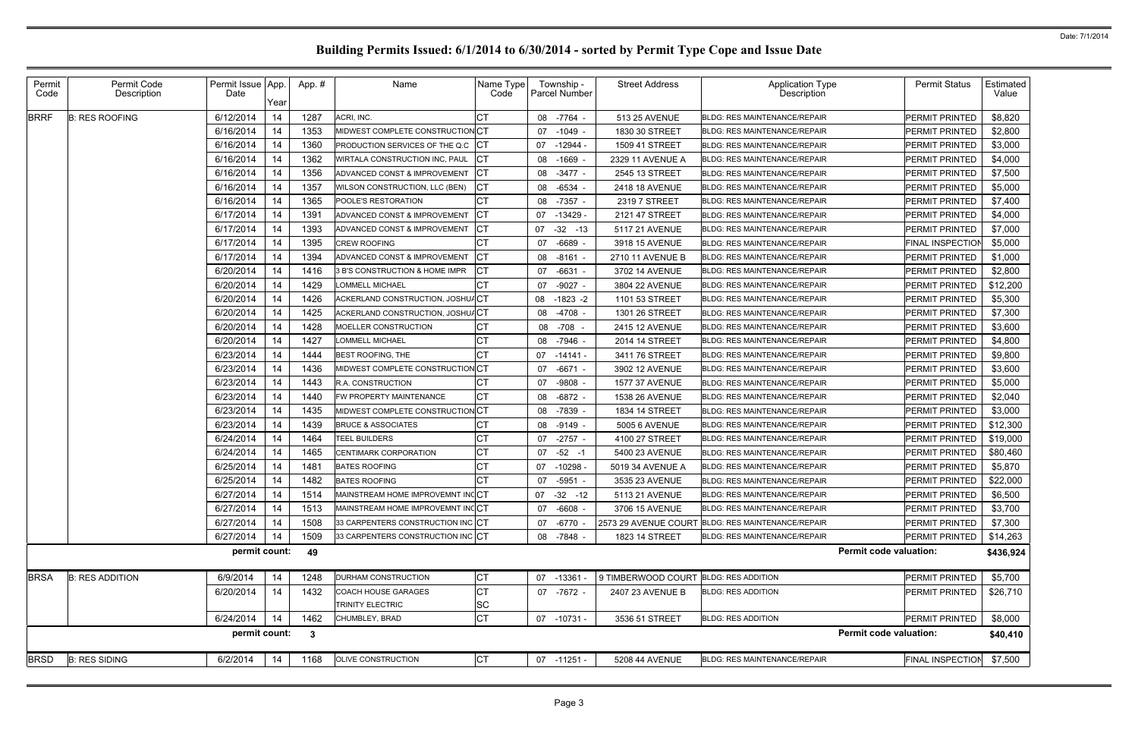|             |                        | Date          | Year |              |                                   | Name Type<br>Code | <b>Parcel Number</b> | <b>Street Address</b>                 | <b>Application Type</b><br><b>Description</b> | <b>Permit Status</b>          | Estimated<br>Value |
|-------------|------------------------|---------------|------|--------------|-----------------------------------|-------------------|----------------------|---------------------------------------|-----------------------------------------------|-------------------------------|--------------------|
| <b>BRRF</b> | <b>B: RES ROOFING</b>  | 6/12/2014     | 14   | 1287         | ACRI, INC.                        |                   | 08 -7764             | 513 25 AVENUE                         | <b>BLDG: RES MAINTENANCE/REPAIR</b>           | <b>PERMIT PRINTED</b>         | \$8,820            |
|             |                        | 6/16/2014     | 14   | 1353         | MIDWEST COMPLETE CONSTRUCTION CT  |                   | $-1049$<br>07        | 1830 30 STREET                        | <b>BLDG: RES MAINTENANCE/REPAIR</b>           | <b>PERMIT PRINTED</b>         | \$2,800            |
|             |                        | 6/16/2014     | 14   | 1360         | PRODUCTION SERVICES OF THE Q.C.   |                   | $-12944$<br>07       | 1509 41 STREET                        | <b>BLDG: RES MAINTENANCE/REPAIR</b>           | PERMIT PRINTED                | \$3,000            |
|             |                        | 6/16/2014     | 14   | 1362         | WIRTALA CONSTRUCTION INC, PAUL    |                   | $-1669$<br>08        | 2329 11 AVENUE A                      | <b>BLDG: RES MAINTENANCE/REPAIR</b>           | <b>PERMIT PRINTED</b>         | \$4,000            |
|             |                        | 6/16/2014     | 14   | 1356         | ADVANCED CONST & IMPROVEMENT      |                   | $-3477 -$<br>08      | 2545 13 STREET                        | <b>BLDG: RES MAINTENANCE/REPAIR</b>           | PERMIT PRINTED                | \$7,500            |
|             |                        | 6/16/2014     | 14   | 1357         | WILSON CONSTRUCTION, LLC (BEN)    |                   | -6534<br>08          | 2418 18 AVENUE                        | <b>BLDG: RES MAINTENANCE/REPAIR</b>           | <b>PERMIT PRINTED</b>         | \$5,000            |
|             |                        | 6/16/2014     | 14   | 1365         | POOLE'S RESTORATION               |                   | $-7357 -$<br>08      | 2319 7 STREET                         | <b>BLDG: RES MAINTENANCE/REPAIR</b>           | PERMIT PRINTED                | \$7,400            |
|             |                        | 6/17/2014     | 14   | 1391         | ADVANCED CONST & IMPROVEMENT      | СT                | $-13429$<br>07       | 2121 47 STREET                        | <b>BLDG: RES MAINTENANCE/REPAIR</b>           | <b>PERMIT PRINTED</b>         | \$4,000            |
|             |                        | 6/17/2014     | 14   | 1393         | ADVANCED CONST & IMPROVEMENT      |                   | $-32 - 13$<br>07     | 5117 21 AVENUE                        | <b>BLDG: RES MAINTENANCE/REPAIR</b>           | PERMIT PRINTED                | \$7,000            |
|             |                        | 6/17/2014     | 14   | 1395         | <b>CREW ROOFING</b>               |                   | $-6689$<br>07        | 3918 15 AVENUE                        | <b>BLDG: RES MAINTENANCE/REPAIR</b>           | <b>FINAL INSPECTION</b>       | \$5,000            |
|             |                        | 6/17/2014     | 14   | 1394         | ADVANCED CONST & IMPROVEMENT      |                   | $-8161 -$<br>08      | 2710 11 AVENUE B                      | BLDG: RES MAINTENANCE/REPAIR                  | PERMIT PRINTED                | \$1,000            |
|             |                        | 6/20/2014     | 14   | 1416         | 3 B'S CONSTRUCTION & HOME IMPR    |                   | $-6631$<br>07        | 3702 14 AVENUE                        | <b>BLDG: RES MAINTENANCE/REPAIR</b>           | PERMIT PRINTED                | \$2,800            |
|             |                        | 6/20/2014     | 14   | 1429         | OMMELL MICHAEL                    |                   | $-9027$<br>07        | 3804 22 AVENUE                        | <b>BLDG: RES MAINTENANCE/REPAIR</b>           | PERMIT PRINTED                | \$12,200           |
|             |                        | 6/20/2014     | 14   | 1426         | ACKERLAND CONSTRUCTION, JOSHU/CT  |                   | $-1823 - 2$<br>08    | 1101 53 STREET                        | <b>BLDG: RES MAINTENANCE/REPAIR</b>           | <b>PERMIT PRINTED</b>         | \$5,300            |
|             |                        | 6/20/2014     | 14   | 1425         | ACKERLAND CONSTRUCTION, JOSHU/CT  |                   | -4708<br>08          | 1301 26 STREET                        | <b>BLDG: RES MAINTENANCE/REPAIR</b>           | PERMIT PRINTED                | \$7,300            |
|             |                        | 6/20/2014     | 14   | 1428         | MOELLER CONSTRUCTION              |                   | $-708 -$<br>08       | 2415 12 AVENUE                        | <b>BLDG: RES MAINTENANCE/REPAIR</b>           | <b>PERMIT PRINTED</b>         | \$3,600            |
|             |                        | 6/20/2014     | 14   | 1427         | OMMELL MICHAEL                    |                   | -7946<br>08          | 2014 14 STREET                        | <b>BLDG: RES MAINTENANCE/REPAIR</b>           | PERMIT PRINTED                | \$4,800            |
|             |                        | 6/23/2014     | 14   | 1444         | <b>BEST ROOFING, THE</b>          |                   | 07<br>-14141 -       | 3411 76 STREET                        | <b>BLDG: RES MAINTENANCE/REPAIR</b>           | PERMIT PRINTED                | \$9,800            |
|             |                        | 6/23/2014     | 14   | 1436         | MIDWEST COMPLETE CONSTRUCTION CT  |                   | $-6671 -$<br>07      | 3902 12 AVENUE                        | <b>BLDG: RES MAINTENANCE/REPAIR</b>           | PERMIT PRINTED                | \$3,600            |
|             |                        | 6/23/2014     | 14   | 1443         | R.A. CONSTRUCTION                 |                   | -9808<br>07          | 1577 37 AVENUE                        | <b>BLDG: RES MAINTENANCE/REPAIR</b>           | PERMIT PRINTED                | \$5,000            |
|             |                        | 6/23/2014     | 14   | 1440         | FW PROPERTY MAINTENANCE           |                   | 08<br>$-6872 -$      | 1538 26 AVENUE                        | <b>BLDG: RES MAINTENANCE/REPAIR</b>           | PERMIT PRINTED                | \$2,040            |
|             |                        | 6/23/2014     | 14   | 1435         | MIDWEST COMPLETE CONSTRUCTION CT  |                   | -7839<br>08          | 1834 14 STREET                        | <b>BLDG: RES MAINTENANCE/REPAIR</b>           | PERMIT PRINTED                | \$3,000            |
|             |                        | 6/23/2014     | 14   | 1439         | <b>BRUCE &amp; ASSOCIATES</b>     |                   | -9149<br>08          | 5005 6 AVENUE                         | <b>BLDG: RES MAINTENANCE/REPAIR</b>           | PERMIT PRINTED                | \$12,300           |
|             |                        | 6/24/2014     | 14   | 1464         | <b>TEEL BUILDERS</b>              |                   | $-2757$<br>07        | 4100 27 STREET                        | <b>BLDG: RES MAINTENANCE/REPAIR</b>           | PERMIT PRINTED                | \$19,000           |
|             |                        | 6/24/2014     | 14   | 1465         | CENTIMARK CORPORATION             | СΤ                | $-52 - 1$<br>07      | 5400 23 AVENUE                        | <b>BLDG: RES MAINTENANCE/REPAIR</b>           | PERMIT PRINTED                | \$80,460           |
|             |                        | 6/25/2014     | 14   | 1481         | <b>BATES ROOFING</b>              | CТ                | $-10298 -$<br>07     | 5019 34 AVENUE A                      | <b>BLDG: RES MAINTENANCE/REPAIR</b>           | PERMIT PRINTED                | \$5,870            |
|             |                        | 6/25/2014     | 14   | 1482         | <b>BATES ROOFING</b>              |                   | $-5951 -$<br>07      | 3535 23 AVENUE                        | <b>BLDG: RES MAINTENANCE/REPAIR</b>           | <b>PERMIT PRINTED</b>         | \$22,000           |
|             |                        | 6/27/2014     | 14   | 1514         | MAINSTREAM HOME IMPROVEMNT INCCT  |                   | $07 -32 -12$         | 5113 21 AVENUE                        | <b>BLDG: RES MAINTENANCE/REPAIR</b>           | PERMIT PRINTED                | \$6,500            |
|             |                        | 6/27/2014     | 14   | 1513         | MAINSTREAM HOME IMPROVEMNT INCCT  |                   | 07<br>$-6608 -$      | 3706 15 AVENUE                        | BLDG: RES MAINTENANCE/REPAIR                  | PERMIT PRINTED                | \$3,700            |
|             |                        | 6/27/2014     | 14   | 1508         | 33 CARPENTERS CONSTRUCTION INC CT |                   | $-6770$<br>07        | 2573 29 AVENUE COURT                  | BLDG: RES MAINTENANCE/REPAIR                  | PERMIT PRINTED                | \$7,300            |
|             |                        | 6/27/2014     | 14   | 1509         | 33 CARPENTERS CONSTRUCTION INC CT |                   | 08 -7848 -           | 1823 14 STREET                        | <b>BLDG: RES MAINTENANCE/REPAIR</b>           | PERMIT PRINTED                | \$14,263           |
|             |                        | permit count: |      | 49           |                                   |                   |                      |                                       |                                               | <b>Permit code valuation:</b> | \$436,924          |
| <b>BRSA</b> | <b>B: RES ADDITION</b> | 6/9/2014      | 14   | 1248         | DURHAM CONSTRUCTION               | СT                | 07 -13361            | 9 TIMBERWOOD COURT BLDG: RES ADDITION |                                               | PERMIT PRINTED                | \$5,700            |
|             |                        | 6/20/2014     | 14   | 1432         | <b>COACH HOUSE GARAGES</b>        | СT                | 07 -7672 -           | 2407 23 AVENUE B                      | <b>BLDG: RES ADDITION</b>                     | <b>PERMIT PRINTED</b>         | \$26,710           |
|             |                        |               |      |              | <b>TRINITY ELECTRIC</b>           | <b>SC</b>         |                      |                                       |                                               |                               |                    |
|             |                        | 6/24/2014     | 14   | 1462         | CHUMBLEY, BRAD                    | <b>CT</b>         | 07 -10731 -          | 3536 51 STREET                        | <b>BLDG: RES ADDITION</b>                     | <b>PERMIT PRINTED</b>         | \$8,000            |
|             |                        | permit count: |      | $\mathbf{3}$ |                                   |                   |                      |                                       |                                               | <b>Permit code valuation:</b> | \$40,410           |
| <b>BRSD</b> | <b>B: RES SIDING</b>   | 6/2/2014      | 14   | 1168         | OLIVE CONSTRUCTION                | <b>CT</b>         | 07 -11251 -          | 5208 44 AVENUE                        | <b>BLDG: RES MAINTENANCE/REPAIR</b>           | <b>FINAL INSPECTION</b>       | \$7,500            |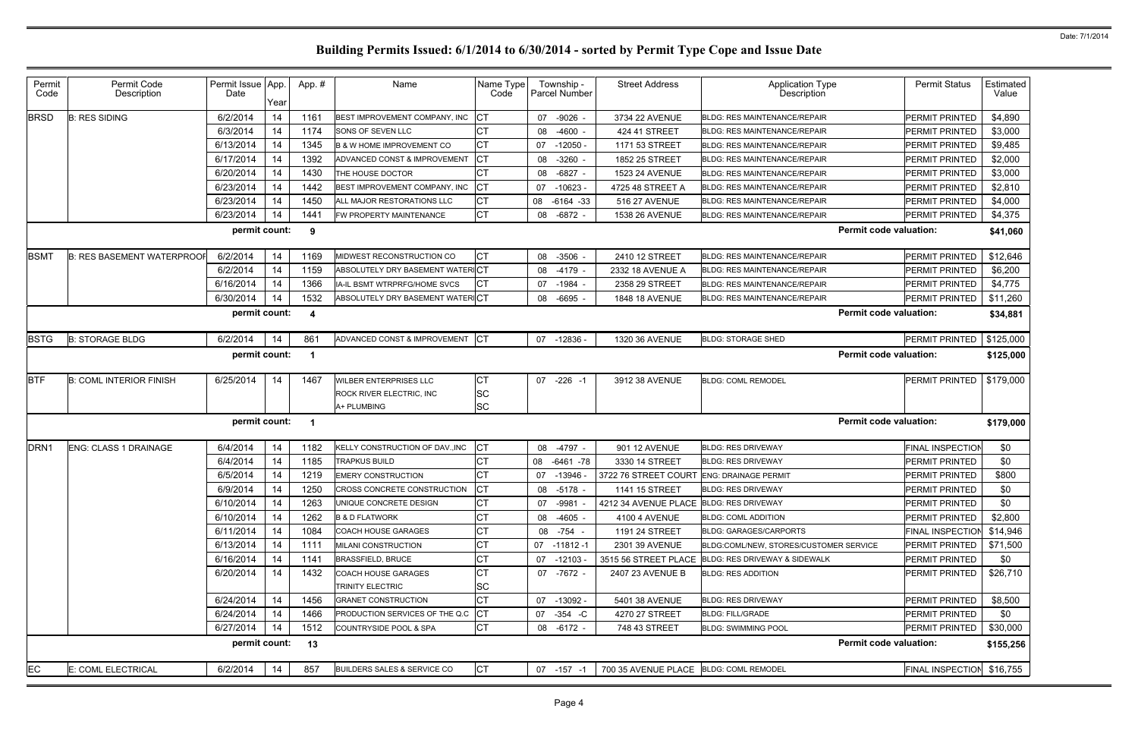| Permit<br>Code   | Permit Code<br>Description        | Permit Issue App.<br>Date | Year       | App.#                    | Name                                   | Name Type<br>Code | Township -<br>Parcel Number |              | <b>Street Address</b>                   | <b>Application Type</b><br><b>Description</b> |                               | <b>Permit Status</b>      | Estimated<br>Value |
|------------------|-----------------------------------|---------------------------|------------|--------------------------|----------------------------------------|-------------------|-----------------------------|--------------|-----------------------------------------|-----------------------------------------------|-------------------------------|---------------------------|--------------------|
| <b>BRSD</b>      | <b>B: RES SIDING</b>              | 6/2/2014                  | 14         | 1161                     | BEST IMPROVEMENT COMPANY, INC          |                   | 07                          | -9026 -      | 3734 22 AVENUE                          | <b>BLDG: RES MAINTENANCE/REPAIR</b>           |                               | PERMIT PRINTED            | \$4,890            |
|                  |                                   | 6/3/2014                  | 14         | 1174                     | <b>SONS OF SEVEN LLC</b>               |                   | 08                          | $-4600 -$    | 424 41 STREET                           | <b>BLDG: RES MAINTENANCE/REPAIR</b>           |                               | <b>PERMIT PRINTED</b>     | \$3,000            |
|                  |                                   | 6/13/2014                 | 14         | 1345                     | <b>B &amp; W HOME IMPROVEMENT CO</b>   |                   | 07                          | $-12050 -$   | 1171 53 STREET                          | <b>BLDG: RES MAINTENANCE/REPAIR</b>           |                               | PERMIT PRINTED            | \$9,485            |
|                  |                                   | 6/17/2014                 | 14         | 1392                     | ADVANCED CONST & IMPROVEMENT           | IСТ               | 08                          | $-3260 -$    | 1852 25 STREET                          | <b>BLDG: RES MAINTENANCE/REPAIR</b>           |                               | PERMIT PRINTED            | \$2,000            |
|                  |                                   | 6/20/2014                 | 14         | 1430                     | THE HOUSE DOCTOR                       |                   | 08                          | $-6827$      | 1523 24 AVENUE                          | <b>BLDG: RES MAINTENANCE/REPAIR</b>           |                               | PERMIT PRINTED            | \$3,000            |
|                  |                                   | 6/23/2014                 | 14         | 1442                     | BEST IMPROVEMENT COMPANY, INC          | СT                | 07                          | $-10623 -$   | 4725 48 STREET A                        | <b>BLDG: RES MAINTENANCE/REPAIR</b>           |                               | PERMIT PRINTED            | \$2,810            |
|                  |                                   | 6/23/2014                 | 14         | 1450                     | ALL MAJOR RESTORATIONS LLC             |                   | 08                          | $-6164 - 33$ | 516 27 AVENUE                           | <b>BLDG: RES MAINTENANCE/REPAIR</b>           |                               | PERMIT PRINTED            | \$4,000            |
|                  |                                   | 6/23/2014                 | 14         | 1441                     | FW PROPERTY MAINTENANCE                | <b>CT</b>         | 08                          | $-6872 -$    | 1538 26 AVENUE                          | <b>BLDG: RES MAINTENANCE/REPAIR</b>           |                               | <b>PERMIT PRINTED</b>     | \$4,375            |
|                  |                                   | permit count:             |            | 9                        |                                        |                   |                             |              |                                         |                                               | <b>Permit code valuation:</b> |                           | \$41,060           |
| <b>BSMT</b>      | <b>B: RES BASEMENT WATERPROOF</b> | 6/2/2014                  | 14         | 1169                     | MIDWEST RECONSTRUCTION CO              | IСТ               | 08                          | $-3506 -$    | 2410 12 STREET                          | <b>BLDG: RES MAINTENANCE/REPAIR</b>           |                               | <b>PERMIT PRINTED</b>     | \$12,646           |
|                  |                                   | 6/2/2014                  | 14         | 1159                     | ABSOLUTELY DRY BASEMENT WATERICT       |                   | 08                          | $-4179$ -    | 2332 18 AVENUE A                        | <b>BLDG: RES MAINTENANCE/REPAIR</b>           |                               | PERMIT PRINTED            | \$6,200            |
|                  |                                   | 6/16/2014                 | 14         | 1366                     | IA-IL BSMT WTRPRFG/HOME SVCS           | IСT               | 07                          | -1984        | 2358 29 STREET                          | <b>BLDG: RES MAINTENANCE/REPAIR</b>           |                               | <b>PERMIT PRINTED</b>     | \$4,775            |
|                  |                                   | 6/30/2014                 | 14         | 1532                     | ABSOLUTELY DRY BASEMENT WATERICT       |                   | 08 -6695                    |              | 1848 18 AVENUE                          | <b>BLDG: RES MAINTENANCE/REPAIR</b>           |                               | PERMIT PRINTED            | \$11,260           |
|                  |                                   | permit count:             |            | 4                        |                                        |                   |                             |              |                                         |                                               | <b>Permit code valuation:</b> |                           | \$34,881           |
| <b>BSTG</b>      | <b>B: STORAGE BLDG</b>            | 6/2/2014                  | 14         | 861                      | ADVANCED CONST & IMPROVEMENT           | <b>ICT</b>        | 07                          | -12836 -     | 1320 36 AVENUE                          | <b>BLDG: STORAGE SHED</b>                     |                               | PERMIT PRINTED            | \$125,000          |
|                  |                                   | permit count:             |            | - 1                      |                                        |                   |                             |              |                                         |                                               | <b>Permit code valuation:</b> |                           | \$125,000          |
| <b>BTF</b>       | <b>B: COML INTERIOR FINISH</b>    | 6/25/2014                 | 14         | 1467                     | <b>WILBER ENTERPRISES LLC</b>          | СT                | 07                          | $-226 - 1$   | 3912 38 AVENUE                          | <b>BLDG: COML REMODEL</b>                     |                               | PERMIT PRINTED            | \$179,000          |
|                  |                                   |                           |            |                          | ROCK RIVER ELECTRIC, INC               | lSC               |                             |              |                                         |                                               |                               |                           |                    |
|                  |                                   |                           |            |                          | A+ PLUMBING                            | <b>SC</b>         |                             |              |                                         |                                               |                               |                           |                    |
|                  |                                   | permit count:             |            | $\overline{\phantom{a}}$ |                                        |                   |                             |              |                                         |                                               | <b>Permit code valuation:</b> |                           | \$179,000          |
| DRN <sub>1</sub> | <b>ENG: CLASS 1 DRAINAGE</b>      | 6/4/2014                  | 14         | 1182                     | KELLY CONSTRUCTION OF DAV., INC        |                   | 08                          | $-4797 -$    | 901 12 AVENUE                           | <b>BLDG: RES DRIVEWAY</b>                     |                               | <b>FINAL INSPECTION</b>   | \$0                |
|                  |                                   | 6/4/2014                  | 14         | 1185                     | <b>TRAPKUS BUILD</b>                   |                   | 08                          | $-6461 - 78$ | 3330 14 STREET                          | <b>BLDG: RES DRIVEWAY</b>                     |                               | PERMIT PRINTED            | \$0                |
|                  |                                   | 6/5/2014                  | 14         | 1219                     | <b>EMERY CONSTRUCTION</b>              |                   | 07                          | -13946 -     | 3722 76 STREET COURT                    | <b>ENG: DRAINAGE PERMIT</b>                   |                               | PERMIT PRINTED            | \$800              |
|                  |                                   | 6/9/2014                  | $\vert$ 14 | 1250                     | CROSS CONCRETE CONSTRUCTION            | $\Gamma$<br>ישו   | 08 -5178                    |              | 1141 15 STREET                          | <b>BLDG: RES DRIVEWAY</b>                     |                               | PERMIT PRINTED            | \$0                |
|                  |                                   | 6/10/2014                 | 14         | 1263                     | UNIQUE CONCRETE DESIGN                 | СT                | 07 -9981                    |              | 4212 34 AVENUE PLACE BLDG: RES DRIVEWAY |                                               |                               | <b>PERMIT PRINTED</b>     | \$0                |
|                  |                                   | 6/10/2014                 | 14         | 1262                     | <b>B &amp; D FLATWORK</b>              | СT                | 08                          | $-4605 -$    | 4100 4 AVENUE                           | <b>BLDG: COML ADDITION</b>                    |                               | PERMIT PRINTED            | \$2,800            |
|                  |                                   | 6/11/2014                 | 14         | 1084                     | <b>COACH HOUSE GARAGES</b>             | СT                | 08 -754 -                   |              | 1191 24 STREET                          | <b>BLDG: GARAGES/CARPORTS</b>                 |                               | <b>FINAL INSPECTION</b>   | \$14,946           |
|                  |                                   | 6/13/2014                 | 14         | 1111                     | MILANI CONSTRUCTION                    | СT                | 07 -11812 -1                |              | 2301 39 AVENUE                          | BLDG:COML/NEW, STORES/CUSTOMER SERVICE        |                               | PERMIT PRINTED            | \$71,500           |
|                  |                                   | 6/16/2014                 | 14         | 1141                     | <b>BRASSFIELD, BRUCE</b>               | CT                | 07 -12103 -                 |              | 3515 56 STREET PLACE                    | <b>BLDG: RES DRIVEWAY &amp; SIDEWALK</b>      |                               | <b>PERMIT PRINTED</b>     | \$0                |
|                  |                                   | 6/20/2014                 | 14         | 1432                     | <b>COACH HOUSE GARAGES</b>             |                   | 07 -7672 -                  |              | 2407 23 AVENUE B                        | <b>BLDG: RES ADDITION</b>                     |                               | <b>PERMIT PRINTED</b>     | \$26,710           |
|                  |                                   |                           |            |                          | TRINITY ELECTRIC                       | <b>SC</b>         |                             |              |                                         |                                               |                               |                           |                    |
|                  |                                   | 6/24/2014                 | 14         | 1456                     | <b>GRANET CONSTRUCTION</b>             | IСТ               | 07 -13092 -                 |              | 5401 38 AVENUE                          | <b>BLDG: RES DRIVEWAY</b>                     |                               | <b>PERMIT PRINTED</b>     | \$8,500            |
|                  |                                   | 6/24/2014                 | 14         | 1466                     | <b>PRODUCTION SERVICES OF THE Q.C</b>  |                   | 07 - 354 - C                |              | 4270 27 STREET                          | <b>BLDG: FILL/GRADE</b>                       |                               | PERMIT PRINTED            | \$0                |
|                  |                                   | 6/27/2014                 | 14         | 1512                     | COUNTRYSIDE POOL & SPA                 | <b>CT</b>         | 08 -6172 -                  |              | 748 43 STREET                           | <b>BLDG: SWIMMING POOL</b>                    |                               | <b>PERMIT PRINTED</b>     | \$30,000           |
|                  |                                   | permit count:             |            | 13                       |                                        |                   |                             |              |                                         |                                               | <b>Permit code valuation:</b> |                           | \$155,256          |
| EC               | E: COML ELECTRICAL                | 6/2/2014                  | 14         | 857                      | <b>BUILDERS SALES &amp; SERVICE CO</b> | IСТ               | $07 - 157 - 1$              |              | 700 35 AVENUE PLACE BLDG: COML REMODEL  |                                               |                               | FINAL INSPECTION \$16,755 |                    |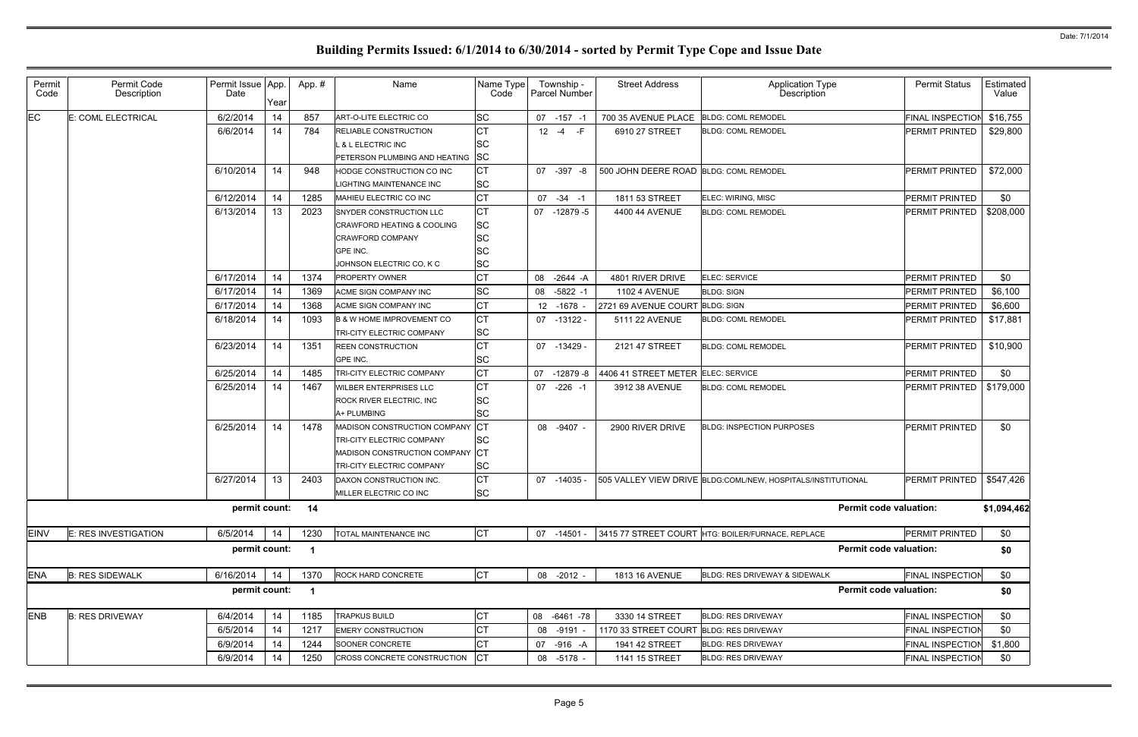| Permit<br>Code | Permit Code<br>Description | Permit Issue App.<br>Date | Year | App.#                | Name                                  | Name Type<br>Code |          | Township -<br><b>Parcel Number</b> | <b>Street Address</b>                  | <b>Application Type</b><br>Description                       |                               | <b>Permit Status</b>    | Estimated<br>Value |
|----------------|----------------------------|---------------------------|------|----------------------|---------------------------------------|-------------------|----------|------------------------------------|----------------------------------------|--------------------------------------------------------------|-------------------------------|-------------------------|--------------------|
| EC             | E: COML ELECTRICAL         | 6/2/2014                  | 14   | 857                  | ART-O-LITE ELECTRIC CO                | <b>SC</b>         |          | 07 -157 -1                         | 700 35 AVENUE PLACE                    | <b>BLDG: COML REMODEL</b>                                    |                               | <b>FINAL INSPECTION</b> | \$16,755           |
|                |                            | 6/6/2014                  | 14   | 784                  | <b>RELIABLE CONSTRUCTION</b>          | СT                | $12 - 4$ | $-F$                               | 6910 27 STREET                         | <b>BLDG: COML REMODEL</b>                                    |                               | PERMIT PRINTED          | \$29,800           |
|                |                            |                           |      |                      | L & L ELECTRIC INC                    | <b>SC</b>         |          |                                    |                                        |                                                              |                               |                         |                    |
|                |                            |                           |      |                      | PETERSON PLUMBING AND HEATING         | <b>SC</b>         |          |                                    |                                        |                                                              |                               |                         |                    |
|                |                            | 6/10/2014                 | 14   | 948                  | HODGE CONSTRUCTION CO INC             | СT                |          | 07 -397 -8                         | 500 JOHN DEERE ROAD BLDG: COML REMODEL |                                                              |                               | <b>PERMIT PRINTED</b>   | \$72,000           |
|                |                            |                           |      |                      | LIGHTING MAINTENANCE INC              | <b>SC</b>         |          |                                    |                                        |                                                              |                               |                         |                    |
|                |                            | 6/12/2014                 | 14   | 1285                 | MAHIEU ELECTRIC CO INC                | СT                |          | $07 - 34 - 1$                      | 1811 53 STREET                         | ELEC: WIRING, MISC                                           |                               | <b>PERMIT PRINTED</b>   | \$0                |
|                |                            | 6/13/2014                 | 13   | 2023                 | <b>SNYDER CONSTRUCTION LLC</b>        | <b>CT</b>         |          | 07 -12879 -5                       | 4400 44 AVENUE                         | <b>BLDG: COML REMODEL</b>                                    |                               | PERMIT PRINTED          | \$208,000          |
|                |                            |                           |      |                      | <b>CRAWFORD HEATING &amp; COOLING</b> | <b>SC</b>         |          |                                    |                                        |                                                              |                               |                         |                    |
|                |                            |                           |      |                      | <b>CRAWFORD COMPANY</b>               | <b>SC</b>         |          |                                    |                                        |                                                              |                               |                         |                    |
|                |                            |                           |      |                      | GPE INC.                              | lsc               |          |                                    |                                        |                                                              |                               |                         |                    |
|                |                            |                           |      |                      | JOHNSON ELECTRIC CO, K C              | <b>SC</b>         |          |                                    |                                        |                                                              |                               |                         |                    |
|                |                            | 6/17/2014                 | 14   | 1374                 | <b>PROPERTY OWNER</b>                 |                   |          | 08 - 2644 - A                      | 4801 RIVER DRIVE                       | ELEC: SERVICE                                                |                               | <b>PERMIT PRINTED</b>   | \$0                |
|                |                            | 6/17/2014                 | 14   | 1369                 | ACME SIGN COMPANY INC                 | <b>SC</b>         | 08       | $-5822 - 1$                        | <b>1102 4 AVENUE</b>                   | <b>BLDG: SIGN</b>                                            |                               | PERMIT PRINTED          | \$6,100            |
|                |                            | 6/17/2014                 | 14   | 1368                 | ACME SIGN COMPANY INC                 | CТ                |          | 12 -1678                           | 2721 69 AVENUE COURT BLDG: SIGN        |                                                              |                               | PERMIT PRINTED          | \$6,600            |
|                |                            | 6/18/2014                 | 14   | 1093                 | <b>B &amp; W HOME IMPROVEMENT CO</b>  | СT                |          | 07 -13122 -                        | 5111 22 AVENUE                         | <b>BLDG: COML REMODEL</b>                                    |                               | <b>PERMIT PRINTED</b>   | \$17,881           |
|                |                            |                           |      |                      | <b>TRI-CITY ELECTRIC COMPANY</b>      | <b>SC</b>         |          |                                    |                                        |                                                              |                               |                         |                    |
|                |                            | 6/23/2014                 | 14   | 1351                 | <b>REEN CONSTRUCTION</b>              | СT                |          | 07 -13429 -                        | 2121 47 STREET                         | <b>BLDG: COML REMODEL</b>                                    |                               | PERMIT PRINTED          | \$10,900           |
|                |                            |                           |      |                      | GPE INC.                              | <b>SC</b>         |          |                                    |                                        |                                                              |                               |                         |                    |
|                |                            | 6/25/2014                 | 14   | 1485                 | TRI-CITY ELECTRIC COMPANY             | СT                |          | 07 -12879 -8                       | 4406 41 STREET METER ELEC: SERVICE     |                                                              |                               | PERMIT PRINTED          | \$0                |
|                |                            | 6/25/2014                 | 14   | 1467                 | <b>WILBER ENTERPRISES LLC</b>         | СT                |          | 07 -226 -1                         | 3912 38 AVENUE                         | <b>BLDG: COML REMODEL</b>                                    |                               | PERMIT PRINTED          | \$179,000          |
|                |                            |                           |      |                      | <b>ROCK RIVER ELECTRIC, INC.</b>      | <b>SC</b>         |          |                                    |                                        |                                                              |                               |                         |                    |
|                |                            |                           |      |                      | A+ PLUMBING                           | <b>SC</b>         |          |                                    |                                        |                                                              |                               |                         |                    |
|                |                            | 6/25/2014                 | 14   | 1478                 | MADISON CONSTRUCTION COMPANY          | <b>CT</b>         |          | 08 -9407 -                         | 2900 RIVER DRIVE                       | <b>BLDG: INSPECTION PURPOSES</b>                             |                               | <b>PERMIT PRINTED</b>   | \$0                |
|                |                            |                           |      |                      | <b>TRI-CITY ELECTRIC COMPANY</b>      | <b>SC</b>         |          |                                    |                                        |                                                              |                               |                         |                    |
|                |                            |                           |      |                      | MADISON CONSTRUCTION COMPANY          | <b>ICT</b>        |          |                                    |                                        |                                                              |                               |                         |                    |
|                |                            |                           |      |                      | <b>TRI-CITY ELECTRIC COMPANY</b>      | <b>SC</b>         |          |                                    |                                        |                                                              |                               |                         |                    |
|                |                            | 6/27/2014                 | 13   | 2403                 | DAXON CONSTRUCTION INC.               | <b>CT</b>         |          | 07 -14035 -                        |                                        | 505 VALLEY VIEW DRIVE BLDG:COML/NEW, HOSPITALS/INSTITUTIONAL |                               | PERMIT PRINTED          | \$547,426          |
|                |                            |                           |      |                      | MILLER ELECTRIC CO INC                | <b>SC</b>         |          |                                    |                                        |                                                              |                               |                         |                    |
|                |                            | permit count:             |      | 14                   |                                       |                   |          |                                    |                                        |                                                              | <b>Permit code valuation:</b> |                         | \$1,094,462        |
| <b>EINV</b>    | E: RES INVESTIGATION       | 6/5/2014                  | 14   | 1230                 | TOTAL MAINTENANCE INC                 | <b>CT</b>         |          | 07 -14501 -                        |                                        | 3415 77 STREET COURT HTG: BOILER/FURNACE, REPLACE            |                               | PERMIT PRINTED          | \$0                |
|                |                            | permit count:             |      | -1                   |                                       |                   |          |                                    |                                        |                                                              | <b>Permit code valuation:</b> |                         | \$0                |
| <b>ENA</b>     | <b>B: RES SIDEWALK</b>     | 6/16/2014                 | 14   | 1370                 | ROCK HARD CONCRETE                    | <b>CT</b>         | 08       | $-2012 -$                          | 1813 16 AVENUE                         | BLDG: RES DRIVEWAY & SIDEWALK                                |                               | <b>FINAL INSPECTION</b> | \$0                |
|                |                            | permit count:             |      | $\blacktriangleleft$ |                                       |                   |          |                                    |                                        |                                                              | <b>Permit code valuation:</b> |                         | \$0                |
| <b>ENB</b>     | <b>B: RES DRIVEWAY</b>     | 6/4/2014                  | 14   | 1185                 | <b>TRAPKUS BUILD</b>                  | СT                |          | 08 -6461 -78                       | 3330 14 STREET                         | <b>BLDG: RES DRIVEWAY</b>                                    |                               | FINAL INSPECTION        | \$0                |
|                |                            | 6/5/2014                  | 14   | 1217                 | <b>EMERY CONSTRUCTION</b>             | CТ                | 08       | -9191                              | 1170 33 STREET COURT                   | <b>BLDG: RES DRIVEWAY</b>                                    |                               | FINAL INSPECTION        | \$0                |
|                |                            | 6/9/2014                  | 14   | 1244                 | SOONER CONCRETE                       | СΤ                |          | 07 -916 -A                         | 1941 42 STREET                         | <b>BLDG: RES DRIVEWAY</b>                                    |                               | <b>FINAL INSPECTION</b> | \$1,800            |
|                |                            | 6/9/2014                  | 14   | 1250                 | CROSS CONCRETE CONSTRUCTION           | СT                | 08       | $-5178 -$                          | 1141 15 STREET                         | <b>BLDG: RES DRIVEWAY</b>                                    |                               | FINAL INSPECTION        | \$0                |
|                |                            |                           |      |                      |                                       |                   |          |                                    |                                        |                                                              |                               |                         |                    |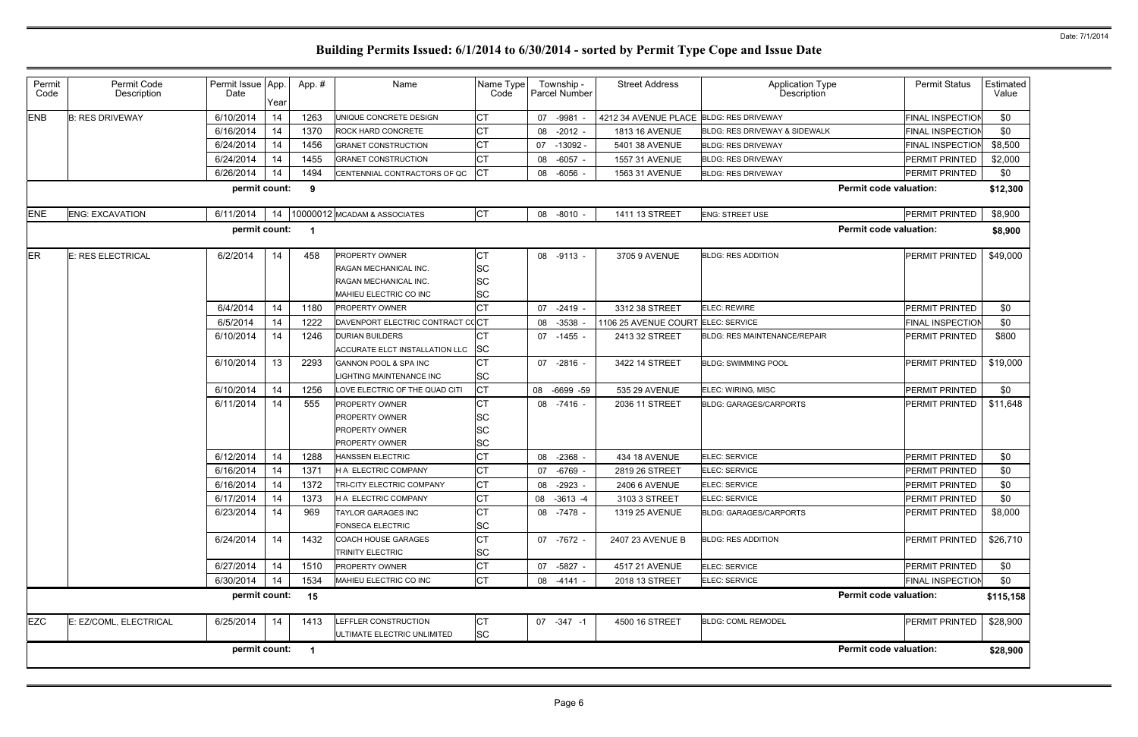| Permit<br>Code | Permit Code<br>Description | Permit Issue App.<br>Date | Year | App.# | Name                                           | Name Type<br>Code      |    | Township -<br>Parcel Number | <b>Street Address</b>                   | <b>Application Type</b><br>Description | <b>Permit Status</b>    | Estimated<br>Value |
|----------------|----------------------------|---------------------------|------|-------|------------------------------------------------|------------------------|----|-----------------------------|-----------------------------------------|----------------------------------------|-------------------------|--------------------|
| <b>ENB</b>     | <b>B: RES DRIVEWAY</b>     | 6/10/2014                 | 14   | 1263  | UNIQUE CONCRETE DESIGN                         | СT                     | 07 | $-9981$                     | 4212 34 AVENUE PLACE BLDG: RES DRIVEWAY |                                        | <b>FINAL INSPECTION</b> | \$0                |
|                |                            | 6/16/2014                 | 14   | 1370  | <b>ROCK HARD CONCRETE</b>                      | СT                     |    | 08 -2012 -                  | 1813 16 AVENUE                          | BLDG: RES DRIVEWAY & SIDEWALK          | <b>FINAL INSPECTION</b> | \$0                |
|                |                            | 6/24/2014                 | 14   | 1456  | <b>GRANET CONSTRUCTION</b>                     |                        | 07 | -13092 -                    | 5401 38 AVENUE                          | <b>BLDG: RES DRIVEWAY</b>              | <b>FINAL INSPECTION</b> | \$8,500            |
|                |                            | 6/24/2014                 | 14   | 1455  | <b>GRANET CONSTRUCTION</b>                     | СT                     | 08 | $-6057 -$                   | 1557 31 AVENUE                          | <b>BLDG: RES DRIVEWAY</b>              | <b>PERMIT PRINTED</b>   | \$2,000            |
|                |                            | 6/26/2014                 | 14   | 1494  | CENTENNIAL CONTRACTORS OF QC                   |                        | 08 | -6056                       | 1563 31 AVENUE                          | <b>BLDG: RES DRIVEWAY</b>              | <b>PERMIT PRINTED</b>   | \$0                |
|                |                            | permit count:             |      | 9     |                                                |                        |    |                             |                                         | <b>Permit code valuation:</b>          |                         | \$12,300           |
| <b>ENE</b>     | <b>ENG: EXCAVATION</b>     | 6/11/2014                 | 14   |       | 10000012 MCADAM & ASSOCIATES                   | <b>CT</b>              |    | 08 -8010 -                  | 1411 13 STREET                          | <b>ENG: STREET USE</b>                 | PERMIT PRINTED          | \$8,900            |
|                |                            | permit count:             |      | -1    |                                                |                        |    |                             |                                         | <b>Permit code valuation:</b>          |                         | \$8,900            |
| <b>ER</b>      | E: RES ELECTRICAL          | 6/2/2014                  | 14   | 458   | <b>PROPERTY OWNER</b>                          | СT                     | 08 | $-9113 -$                   | 3705 9 AVENUE                           | <b>BLDG: RES ADDITION</b>              | PERMIT PRINTED          | \$49,000           |
|                |                            |                           |      |       | RAGAN MECHANICAL INC.                          | SC                     |    |                             |                                         |                                        |                         |                    |
|                |                            |                           |      |       | <b>RAGAN MECHANICAL INC.</b>                   | <b>SC</b>              |    |                             |                                         |                                        |                         |                    |
|                |                            |                           |      |       | MAHIEU ELECTRIC CO INC                         | SC                     |    |                             |                                         |                                        |                         |                    |
|                |                            | 6/4/2014                  | 14   | 1180  | <b>PROPERTY OWNER</b>                          |                        | 07 | $-2419 -$                   | 3312 38 STREET                          | <b>ELEC: REWIRE</b>                    | <b>PERMIT PRINTED</b>   | \$0                |
|                |                            | 6/5/2014                  | 14   | 1222  | DAVENPORT ELECTRIC CONTRACT CCC                |                        | 08 | $-3538$                     | 1106 25 AVENUE COURT                    | <b>ELEC: SERVICE</b>                   | <b>FINAL INSPECTION</b> | \$0                |
|                |                            | 6/10/2014                 | 14   | 1246  | <b>DURIAN BUILDERS</b>                         |                        |    | 07 -1455 -                  | 2413 32 STREET                          | <b>BLDG: RES MAINTENANCE/REPAIR</b>    | PERMIT PRINTED          | \$800              |
|                |                            |                           |      |       | ACCURATE ELCT INSTALLATION LLC                 | <b>SC</b>              |    |                             |                                         |                                        |                         |                    |
|                |                            | 6/10/2014                 | 13   | 2293  | <b>GANNON POOL &amp; SPA INC</b>               |                        | 07 | $-2816 -$                   | 3422 14 STREET                          | <b>BLDG: SWIMMING POOL</b>             | PERMIT PRINTED          | \$19,000           |
|                |                            |                           |      |       | <b>IGHTING MAINTENANCE INC</b>                 | <b>SC</b>              |    |                             |                                         |                                        |                         |                    |
|                |                            | 6/10/2014                 | 14   | 1256  | LOVE ELECTRIC OF THE QUAD CITI                 | <b>CT</b>              | 08 | -6699 -59                   | 535 29 AVENUE                           | ELEC: WIRING, MISC                     | PERMIT PRINTED          | \$0                |
|                |                            | 6/11/2014                 | 14   | 555   | <b>PROPERTY OWNER</b>                          |                        |    | 08 -7416 -                  | 2036 11 STREET                          | <b>BLDG: GARAGES/CARPORTS</b>          | PERMIT PRINTED          | \$11,648           |
|                |                            |                           |      |       | <b>PROPERTY OWNER</b>                          | <b>SC</b>              |    |                             |                                         |                                        |                         |                    |
|                |                            |                           |      |       | <b>PROPERTY OWNER</b><br><b>PROPERTY OWNER</b> | <b>SC</b><br><b>SC</b> |    |                             |                                         |                                        |                         |                    |
|                |                            | 6/12/2014                 | 14   | 1288  | <b>HANSSEN ELECTRIC</b>                        | СT                     | 08 | $-2368$                     | 434 18 AVENUE                           | ELEC: SERVICE                          | <b>PERMIT PRINTED</b>   | \$0                |
|                |                            | 6/16/2014                 | 14   | 1371  | <b>H A ELECTRIC COMPANY</b>                    | СT                     | 07 | $-6769$                     | 2819 26 STREET                          | ELEC: SERVICE                          | PERMIT PRINTED          | \$0                |
|                |                            | 6/16/2014                 | 14   | 1372  | TRI-CITY ELECTRIC COMPANY                      | <b>CT</b>              | 08 | $-2923$                     | 2406 6 AVENUE                           | ELEC: SERVICE                          | PERMIT PRINTED          | \$0                |
|                |                            | 6/17/2014                 | 14   | 1373  | H A ELECTRIC COMPANY                           | <b>CT</b>              |    | 08 -3613 -4                 | 3103 3 STREET                           | ELEC: SERVICE                          | PERMIT PRINTED          | \$0                |
|                |                            | 6/23/2014                 | 14   | 969   | <b>TAYLOR GARAGES INC</b>                      | СT                     |    | 08 -7478 -                  | 1319 25 AVENUE                          | <b>BLDG: GARAGES/CARPORTS</b>          | PERMIT PRINTED          | \$8,000            |
|                |                            |                           |      |       | <b>FONSECA ELECTRIC</b>                        | <b>SC</b>              |    |                             |                                         |                                        |                         |                    |
|                |                            | 6/24/2014                 | 14   | 1432  | <b>COACH HOUSE GARAGES</b>                     | СT                     |    | 07 -7672 -                  | 2407 23 AVENUE B                        | <b>BLDG: RES ADDITION</b>              | PERMIT PRINTED          | \$26,710           |
|                |                            |                           |      |       | <b>TRINITY ELECTRIC</b>                        | SC                     |    |                             |                                         |                                        |                         |                    |
|                |                            | 6/27/2014                 | 14   | 1510  | <b>PROPERTY OWNER</b>                          | СT                     |    | 07 -5827 -                  | 4517 21 AVENUE                          | ELEC: SERVICE                          | <b>PERMIT PRINTED</b>   | \$0                |
|                |                            | 6/30/2014                 | 14   | 1534  | MAHIEU ELECTRIC CO INC                         | СT                     |    | 08 -4141 -                  | 2018 13 STREET                          | ELEC: SERVICE                          | <b>FINAL INSPECTION</b> | \$0                |
|                |                            | permit count:             |      | 15    |                                                |                        |    |                             |                                         | <b>Permit code valuation:</b>          |                         | \$115,158          |
| <b>EZC</b>     | E: EZ/COML, ELECTRICAL     | 6/25/2014                 | 14   | 1413  | LEFFLER CONSTRUCTION                           | СT                     |    | 07 - 347 - 1                | 4500 16 STREET                          | <b>BLDG: COML REMODEL</b>              | PERMIT PRINTED          | \$28,900           |
|                |                            |                           |      |       | ULTIMATE ELECTRIC UNLIMITED                    | <b>SC</b>              |    |                             |                                         |                                        |                         |                    |
|                |                            | permit count:             |      | -1    |                                                |                        |    |                             |                                         | <b>Permit code valuation:</b>          |                         | \$28,900           |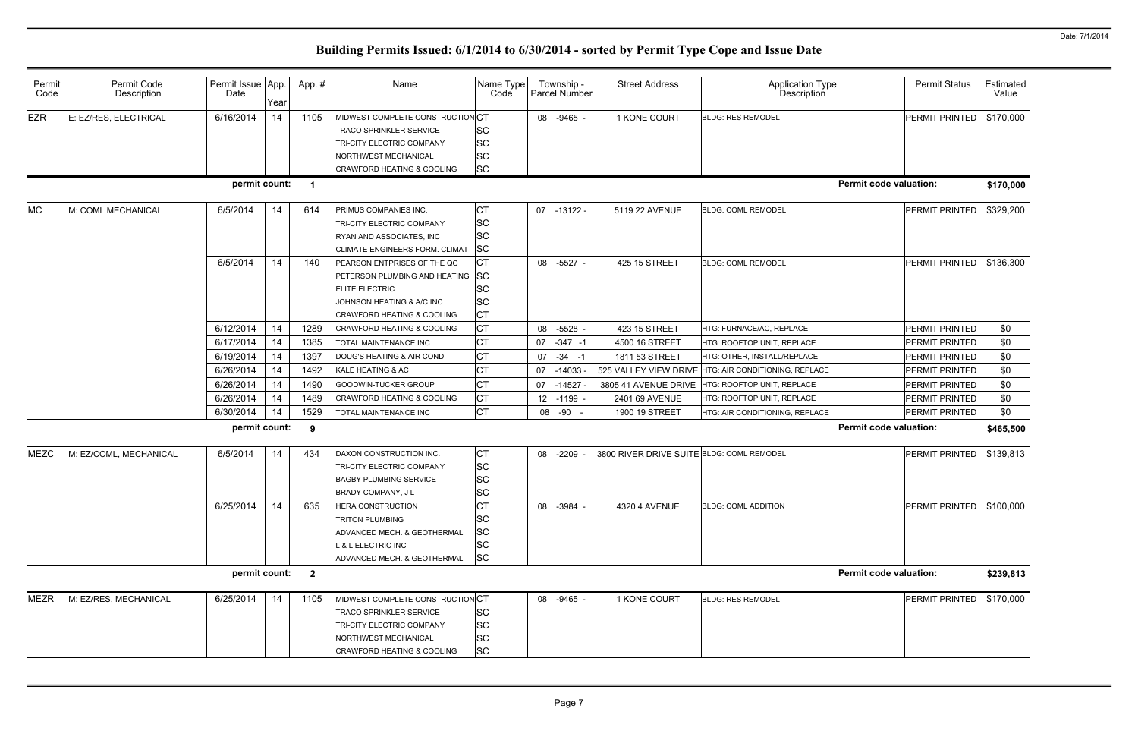| Permit<br>Code | Permit Code<br>Description | Permit Issue App.<br>Date | Year | App.#          | Name                                                                                                                                                         | Name Type<br>Code                                             | Township -<br>Parcel Number | <b>Street Address</b>                     | <b>Application Type</b><br>Description | <b>Permit Status</b>          | Estimated<br>Value |
|----------------|----------------------------|---------------------------|------|----------------|--------------------------------------------------------------------------------------------------------------------------------------------------------------|---------------------------------------------------------------|-----------------------------|-------------------------------------------|----------------------------------------|-------------------------------|--------------------|
| <b>EZR</b>     | E: EZ/RES, ELECTRICAL      | 6/16/2014                 | 14   | 1105           | MIDWEST COMPLETE CONSTRUCTION CT<br><b>TRACO SPRINKLER SERVICE</b><br>TRI-CITY ELECTRIC COMPANY<br><b>NORTHWEST MECHANICAL</b><br>CRAWFORD HEATING & COOLING | <b>SC</b><br><b>SC</b><br><b>SC</b><br><b>SC</b>              | 08 -9465 -                  | 1 KONE COURT                              | <b>BLDG: RES REMODEL</b>               | PERMIT PRINTED                | \$170,000          |
|                |                            | permit count:             |      | $\mathbf 1$    |                                                                                                                                                              |                                                               |                             |                                           |                                        | <b>Permit code valuation:</b> | \$170,000          |
| <b>MC</b>      | M: COML MECHANICAL         | 6/5/2014                  | 14   | 614            | PRIMUS COMPANIES INC.<br>TRI-CITY ELECTRIC COMPANY<br>RYAN AND ASSOCIATES, INC<br>CLIMATE ENGINEERS FORM. CLIMAT                                             | <b>CT</b><br><b>SC</b><br><b>SC</b><br><b>SC</b>              | 07 -13122 -                 | 5119 22 AVENUE                            | <b>BLDG: COML REMODEL</b>              | <b>PERMIT PRINTED</b>         | \$329,200          |
|                |                            | 6/5/2014                  | 14   | 140            | PEARSON ENTPRISES OF THE QC<br>PETERSON PLUMBING AND HEATING<br><b>ELITE ELECTRIC</b><br>JOHNSON HEATING & A/C INC<br><b>CRAWFORD HEATING &amp; COOLING</b>  | <b>CT</b><br><b>SC</b><br><b>SC</b><br><b>SC</b><br><b>CT</b> | 08 -5527 -                  | 425 15 STREET                             | <b>BLDG: COML REMODEL</b>              | PERMIT PRINTED                | \$136,300          |
|                |                            | 6/12/2014                 | 14   | 1289           | <b>CRAWFORD HEATING &amp; COOLING</b>                                                                                                                        | <b>CT</b>                                                     | $-5528$ -<br>08             | 423 15 STREET                             | HTG: FURNACE/AC, REPLACE               | <b>PERMIT PRINTED</b>         | \$0                |
|                |                            | 6/17/2014                 | 14   | 1385           | TOTAL MAINTENANCE INC                                                                                                                                        | <b>CT</b>                                                     | 07<br>$-347 - 1$            | 4500 16 STREET                            | HTG: ROOFTOP UNIT, REPLACE             | PERMIT PRINTED                | \$0                |
|                |                            | 6/19/2014                 | 14   | 1397           | DOUG'S HEATING & AIR COND                                                                                                                                    | СT                                                            | $-34 - 1$<br>07             | 1811 53 STREET                            | HTG: OTHER, INSTALL/REPLACE            | PERMIT PRINTED                | \$0                |
|                |                            | 6/26/2014                 | 14   | 1492           | KALE HEATING & AC                                                                                                                                            | <b>CT</b>                                                     | $-14033 -$<br>07            | 525 VALLEY VIEW DRIVE                     | HTG: AIR CONDITIONING, REPLACE         | <b>PERMIT PRINTED</b>         | \$0                |
|                |                            | 6/26/2014                 | 14   | 1490           | GOODWIN-TUCKER GROUP                                                                                                                                         | СT                                                            | $-14527$<br>07              | 3805 41 AVENUE DRIVE                      | HTG: ROOFTOP UNIT, REPLACE             | PERMIT PRINTED                | \$0                |
|                |                            | 6/26/2014                 | 14   | 1489           | <b>CRAWFORD HEATING &amp; COOLING</b>                                                                                                                        | <b>CT</b>                                                     | 12 -1199 -                  | 2401 69 AVENUE                            | HTG: ROOFTOP UNIT, REPLACE             | <b>PERMIT PRINTED</b>         | \$0                |
|                |                            | 6/30/2014                 | 14   | 1529           | TOTAL MAINTENANCE INC                                                                                                                                        | <b>CT</b>                                                     | 08 -90                      | 1900 19 STREET                            | HTG: AIR CONDITIONING, REPLACE         | PERMIT PRINTED                | \$0                |
|                |                            | permit count:             |      | 9              |                                                                                                                                                              |                                                               |                             |                                           |                                        | <b>Permit code valuation:</b> | \$465,500          |
| <b>MEZC</b>    | M: EZ/COML, MECHANICAL     | 6/5/2014                  | 14   | 434            | DAXON CONSTRUCTION INC.<br>TRI-CITY ELECTRIC COMPANY<br><b>BAGBY PLUMBING SERVICE</b><br>BRADY COMPANY, J L                                                  | <b>CT</b><br><b>SC</b><br>SC<br>ĮSС                           | 08 -2209 -                  | 3800 RIVER DRIVE SUITE BLDG: COML REMODEL |                                        | PERMIT PRINTED                | \$139,813          |
|                |                            | 6/25/2014                 | 14   | 635            | <b>HERA CONSTRUCTION</b><br><b>TRITON PLUMBING</b><br>ADVANCED MECH. & GEOTHERMAL<br>L & L ELECTRIC INC<br>ADVANCED MECH. & GEOTHERMAL                       | <b>CT</b><br>SC<br>SC<br>SC<br><b>SC</b>                      | 08 -3984 -                  | 4320 4 AVENUE                             | <b>BLDG: COML ADDITION</b>             | PERMIT PRINTED                | \$100,000          |
|                |                            | permit count:             |      | $\overline{2}$ |                                                                                                                                                              |                                                               |                             |                                           |                                        | <b>Permit code valuation:</b> | \$239,813          |
| <b>MEZR</b>    | M: EZ/RES, MECHANICAL      | 6/25/2014                 | 14   | 1105           | MIDWEST COMPLETE CONSTRUCTION CT<br><b>TRACO SPRINKLER SERVICE</b><br>TRI-CITY ELECTRIC COMPANY<br>NORTHWEST MECHANICAL<br>CRAWFORD HEATING & COOLING        | <b>SC</b><br><b>SC</b><br>SC<br><b>SC</b>                     | 08 -9465 -                  | 1 KONE COURT                              | <b>BLDG: RES REMODEL</b>               | PERMIT PRINTED                | \$170,000          |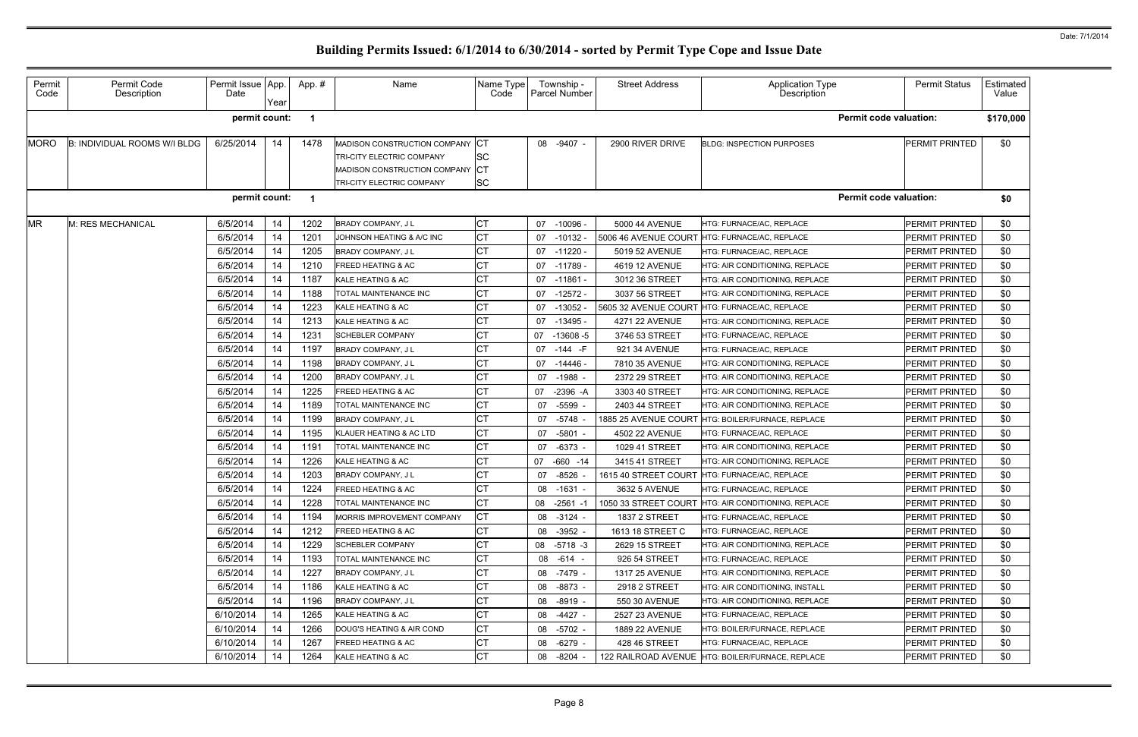| Permit<br>Code | Permit Code<br>Description   | Permit Issue App.<br>Date | Year | App.# | Name                                                                                                                                 | Name Type<br>Code                    | Township -<br><b>Parcel Number</b> | <b>Street Address</b> | Application Type<br>Description                     | <b>Permit Status</b>  | Estimated<br>Value |
|----------------|------------------------------|---------------------------|------|-------|--------------------------------------------------------------------------------------------------------------------------------------|--------------------------------------|------------------------------------|-----------------------|-----------------------------------------------------|-----------------------|--------------------|
|                |                              | permit count:             |      |       |                                                                                                                                      |                                      |                                    |                       | <b>Permit code valuation:</b>                       |                       | \$170,000          |
| <b>MORO</b>    | B: INDIVIDUAL ROOMS W/I BLDG | 6/25/2014                 | 14   | 1478  | MADISON CONSTRUCTION COMPANY<br>TRI-CITY ELECTRIC COMPANY<br><b>MADISON CONSTRUCTION COMPANY</b><br><b>TRI-CITY ELECTRIC COMPANY</b> | <b>ICT</b><br><b>SC</b><br><b>SC</b> | -9407 -<br>08                      | 2900 RIVER DRIVE      | <b>BLDG: INSPECTION PURPOSES</b>                    | PERMIT PRINTED        | \$0                |
|                |                              | permit count:             |      | -1    |                                                                                                                                      |                                      |                                    |                       | <b>Permit code valuation:</b>                       |                       | \$0                |
| <b>MR</b>      | M: RES MECHANICAL            | 6/5/2014                  | 14   | 1202  | <b>BRADY COMPANY, JL</b>                                                                                                             | СT                                   | 07 -10096 -                        | 5000 44 AVENUE        | HTG: FURNACE/AC, REPLACE                            | PERMIT PRINTED        | \$0                |
|                |                              | 6/5/2014                  | 14   | 1201  | JOHNSON HEATING & A/C INC                                                                                                            | СT                                   | 07<br>-10132 -                     | 5006 46 AVENUE COURT  | HTG: FURNACE/AC, REPLACE                            | <b>PERMIT PRINTED</b> | \$0                |
|                |                              | 6/5/2014                  | 14   | 1205  | <b>BRADY COMPANY, JL</b>                                                                                                             | СT                                   | $07 - 11220$                       | 5019 52 AVENUE        | HTG: FURNACE/AC, REPLACE                            | <b>PERMIT PRINTED</b> | \$0                |
|                |                              | 6/5/2014                  | 14   | 1210  | <b>FREED HEATING &amp; AC</b>                                                                                                        | CТ                                   | $07 - 11789$                       | 4619 12 AVENUE        | HTG: AIR CONDITIONING, REPLACE                      | PERMIT PRINTED        | \$0                |
|                |                              | 6/5/2014                  | 14   | 1187  | KALE HEATING & AC                                                                                                                    |                                      | 07 -11861 -                        | 3012 36 STREET        | HTG: AIR CONDITIONING. REPLACE                      | <b>PERMIT PRINTED</b> | \$0                |
|                |                              | 6/5/2014                  | 14   | 1188  | TOTAL MAINTENANCE INC                                                                                                                | СΤ                                   | 07 -12572 -                        | 3037 56 STREET        | HTG: AIR CONDITIONING. REPLACE                      | PERMIT PRINTED        | \$0                |
|                |                              | 6/5/2014                  | 14   | 1223  | KALE HEATING & AC                                                                                                                    |                                      | $-13052$<br>07                     | 5605 32 AVENUE COURT  | HTG: FURNACE/AC, REPLACE                            | <b>PERMIT PRINTED</b> | \$0                |
|                |                              | 6/5/2014                  | 14   | 1213  | KALE HEATING & AC                                                                                                                    |                                      | 07<br>-13495 -                     | 4271 22 AVENUE        | HTG: AIR CONDITIONING, REPLACE                      | <b>PERMIT PRINTED</b> | \$0                |
|                |                              | 6/5/2014                  | 14   | 1231  | <b>SCHEBLER COMPANY</b>                                                                                                              |                                      | $-13608-5$<br>07                   | 3746 53 STREET        | HTG: FURNACE/AC, REPLACE                            | PERMIT PRINTED        | \$0                |
|                |                              | 6/5/2014                  | 14   | 1197  | <b>BRADY COMPANY, JL</b>                                                                                                             |                                      | 07 -144 -F                         | 921 34 AVENUE         | HTG: FURNACE/AC, REPLACE                            | PERMIT PRINTED        | \$0                |
|                |                              | 6/5/2014                  | 14   | 1198  | BRADY COMPANY, J L                                                                                                                   | СΤ                                   | -14446 -<br>07                     | 7810 35 AVENUE        | HTG: AIR CONDITIONING, REPLACE                      | <b>PERMIT PRINTED</b> | \$0                |
|                |                              | 6/5/2014                  | 14   | 1200  | <b>BRADY COMPANY, JL</b>                                                                                                             |                                      | 07<br>-1988 -                      | 2372 29 STREET        | HTG: AIR CONDITIONING, REPLACE                      | <b>PERMIT PRINTED</b> | \$0                |
|                |                              | 6/5/2014                  | 14   | 1225  | <b>FREED HEATING &amp; AC</b>                                                                                                        |                                      | $-2396 - A$<br>07                  | 3303 40 STREET        | HTG: AIR CONDITIONING, REPLACE                      | PERMIT PRINTED        | \$0                |
|                |                              | 6/5/2014                  | 14   | 1189  | TOTAL MAINTENANCE INC                                                                                                                |                                      | $-5599$<br>07                      | 2403 44 STREET        | HTG: AIR CONDITIONING, REPLACE                      | <b>PERMIT PRINTED</b> | \$0                |
|                |                              | 6/5/2014                  | 14   | 1199  | BRADY COMPANY, J L                                                                                                                   |                                      | $-5748$<br>07                      | 1885 25 AVENUE COURT  | HTG: BOILER/FURNACE, REPLACE                        | PERMIT PRINTED        | \$0                |
|                |                              | 6/5/2014                  | 14   | 1195  | KLAUER HEATING & AC LTD                                                                                                              | СT                                   | $-5801 -$<br>07                    | 4502 22 AVENUE        | HTG: FURNACE/AC, REPLACE                            | PERMIT PRINTED        | \$0                |
|                |                              | 6/5/2014                  | 14   | 1191  | TOTAL MAINTENANCE INC                                                                                                                |                                      | $-6373 -$<br>07                    | 1029 41 STREET        | HTG: AIR CONDITIONING, REPLACE                      | PERMIT PRINTED        | \$0                |
|                |                              | 6/5/2014                  | 14   | 1226  | KALE HEATING & AC                                                                                                                    |                                      | 07 -660 -14                        | 3415 41 STREET        | <b>HTG: AIR CONDITIONING, REPLACE</b>               | PERMIT PRINTED        | \$0                |
|                |                              | 6/5/2014                  | 14   | 1203  | BRADY COMPANY, J L                                                                                                                   |                                      | $-8526$<br>07                      | 1615 40 STREET COURT  | HTG: FURNACE/AC, REPLACE                            | PERMIT PRINTED        | \$0                |
|                |                              | 6/5/2014                  | 14   | 1224  | <b>FREED HEATING &amp; AC</b>                                                                                                        | IСT                                  | 08 -1631                           | 3632 5 AVENUE         | HTG: FURNACE/AC, REPLACE                            | PERMIT PRINTED        | \$0                |
|                |                              | 6/5/2014                  | 14   | 1228  | TOTAL MAINTENANCE INC                                                                                                                |                                      | 08 -2561 -1                        |                       | 1050 33 STREET COURT HTG: AIR CONDITIONING, REPLACE | <b>PERMIT PRINTED</b> | \$0                |
|                |                              | 6/5/2014                  | 14   | 1194  | MORRIS IMPROVEMENT COMPANY                                                                                                           | СT                                   | 08 -3124 -                         | <b>1837 2 STREET</b>  | HTG: FURNACE/AC, REPLACE                            | PERMIT PRINTED        | \$0                |
|                |                              | 6/5/2014                  | 14   | 1212  | <b>FREED HEATING &amp; AC</b>                                                                                                        |                                      | 08 -3952 -                         | 1613 18 STREET C      | HTG: FURNACE/AC. REPLACE                            | PERMIT PRINTED        | \$0                |
|                |                              | 6/5/2014                  | 14   | 1229  | <b>SCHEBLER COMPANY</b>                                                                                                              |                                      | 08 -5718 -3                        | 2629 15 STREET        | HTG: AIR CONDITIONING, REPLACE                      | PERMIT PRINTED        | \$0                |
|                |                              | 6/5/2014                  | 14   | 1193  | <b>TOTAL MAINTENANCE INC</b>                                                                                                         |                                      | 08 -614 -                          | 926 54 STREET         | HTG: FURNACE/AC, REPLACE                            | PERMIT PRINTED        | \$0                |
|                |                              | 6/5/2014                  | 14   | 1227  | <b>BRADY COMPANY, JL</b>                                                                                                             |                                      | 08 -7479 -                         | 1317 25 AVENUE        | HTG: AIR CONDITIONING, REPLACE                      | PERMIT PRINTED        | \$0                |
|                |                              | 6/5/2014                  | 14   | 1186  | KALE HEATING & AC                                                                                                                    |                                      | 08 -8873 -                         | 2918 2 STREET         | HTG: AIR CONDITIONING, INSTALL                      | PERMIT PRINTED        | \$0                |
|                |                              | 6/5/2014                  | 14   | 1196  | BRADY COMPANY, J L                                                                                                                   |                                      | $-8919 -$<br>08                    | 550 30 AVENUE         | HTG: AIR CONDITIONING, REPLACE                      | PERMIT PRINTED        | \$0                |
|                |                              | 6/10/2014                 | 14   | 1265  | KALE HEATING & AC                                                                                                                    |                                      | -4427 -<br>08                      | 2527 23 AVENUE        | HTG: FURNACE/AC, REPLACE                            | PERMIT PRINTED        | \$0                |
|                |                              | 6/10/2014                 | 14   | 1266  | DOUG'S HEATING & AIR COND                                                                                                            | СT                                   | 08 -5702 -                         | 1889 22 AVENUE        | HTG: BOILER/FURNACE, REPLACE                        | PERMIT PRINTED        | \$0                |
|                |                              | 6/10/2014                 | 14   | 1267  | <b>FREED HEATING &amp; AC</b>                                                                                                        | СT                                   | -6279 -<br>08                      | 428 46 STREET         | HTG: FURNACE/AC, REPLACE                            | PERMIT PRINTED        | \$0                |
|                |                              | 6/10/2014                 | 14   | 1264  | KALE HEATING & AC                                                                                                                    | СT                                   | $-8204$<br>08                      |                       | 122 RAILROAD AVENUE HTG: BOILER/FURNACE, REPLACE    | PERMIT PRINTED        | \$0                |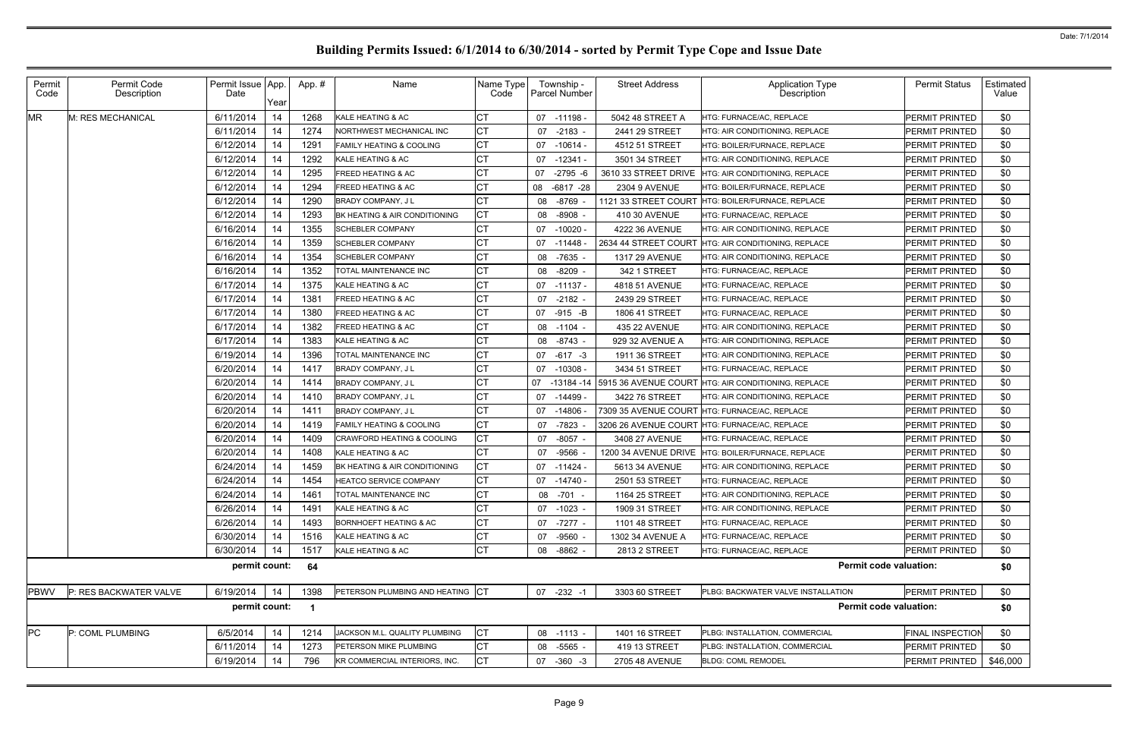| Permit<br>Code | Permit Code<br>Description | Permit Issue App.<br>Date | Year | App. #                  | Name                                | Name Type<br>Code | Township -<br>Parcel Number | <b>Street Address</b> | <b>Application Type</b><br><b>Description</b>     | <b>Permit Status</b>    | Estimated<br>Value |
|----------------|----------------------------|---------------------------|------|-------------------------|-------------------------------------|-------------------|-----------------------------|-----------------------|---------------------------------------------------|-------------------------|--------------------|
| <b>MR</b>      | M: RES MECHANICAL          | 6/11/2014                 | 14   | 1268                    | KALE HEATING & AC                   | <b>CT</b>         | 07 -11198 -                 | 5042 48 STREET A      | HTG: FURNACE/AC, REPLACE                          | <b>PERMIT PRINTED</b>   | \$0                |
|                |                            | 6/11/2014                 | 14   | 1274                    | NORTHWEST MECHANICAL INC            | IСТ               | 07<br>$-2183 -$             | 2441 29 STREET        | HTG: AIR CONDITIONING, REPLACE                    | <b>PERMIT PRINTED</b>   | \$0                |
|                |                            | 6/12/2014                 | 14   | 1291                    | <b>FAMILY HEATING &amp; COOLING</b> | <b>CT</b>         | $-10614 -$<br>07            | 4512 51 STREET        | HTG: BOILER/FURNACE, REPLACE                      | <b>PERMIT PRINTED</b>   | \$0                |
|                |                            | 6/12/2014                 | 14   | 1292                    | KALE HEATING & AC                   | <b>CT</b>         | 07<br>$-12341 -$            | 3501 34 STREET        | HTG: AIR CONDITIONING, REPLACE                    | <b>PERMIT PRINTED</b>   | \$0                |
|                |                            | 6/12/2014                 | 14   | 1295                    | <b>FREED HEATING &amp; AC</b>       | <b>CT</b>         | $-2795 - 6$<br>07           | 3610 33 STREET DRIVE  | HTG: AIR CONDITIONING, REPLACE                    | PERMIT PRINTED          | \$0                |
|                |                            | 6/12/2014                 | 14   | 1294                    | <b>FREED HEATING &amp; AC</b>       | <b>CT</b>         | 08 -6817 -28                | 2304 9 AVENUE         | HTG: BOILER/FURNACE, REPLACE                      | PERMIT PRINTED          | \$0                |
|                |                            | 6/12/2014                 | 14   | 1290                    | <b>BRADY COMPANY, JL</b>            | <b>CT</b>         | -8769<br>08                 | 1121 33 STREET COURT  | HTG: BOILER/FURNACE, REPLACE                      | PERMIT PRINTED          | \$0                |
|                |                            | 6/12/2014                 | 14   | 1293                    | BK HEATING & AIR CONDITIONING       | <b>CT</b>         | $-8908 -$<br>08             | 410 30 AVENUE         | HTG: FURNACE/AC, REPLACE                          | PERMIT PRINTED          | \$0                |
|                |                            | 6/16/2014                 | 14   | 1355                    | <b>SCHEBLER COMPANY</b>             | <b>CT</b>         | $-10020 -$<br>07            | 4222 36 AVENUE        | HTG: AIR CONDITIONING, REPLACE                    | PERMIT PRINTED          | \$0                |
|                |                            | 6/16/2014                 | 14   | 1359                    | <b>SCHEBLER COMPANY</b>             | СT                | $-11448 -$<br>07            | 2634 44 STREET COURT  | HTG: AIR CONDITIONING, REPLACE                    | PERMIT PRINTED          | \$0                |
|                |                            | 6/16/2014                 | 14   | 1354                    | <b>SCHEBLER COMPANY</b>             | <b>CT</b>         | $-7635 -$<br>08             | 1317 29 AVENUE        | HTG: AIR CONDITIONING. REPLACE                    | PERMIT PRINTED          | \$0                |
|                |                            | 6/16/2014                 | 14   | 1352                    | <b>TOTAL MAINTENANCE INC</b>        | <b>CT</b>         | $-8209 -$<br>08             | 342 1 STREET          | HTG: FURNACE/AC, REPLACE                          | PERMIT PRINTED          | \$0                |
|                |                            | 6/17/2014                 | 14   | 1375                    | KALE HEATING & AC                   | <b>CT</b>         | $-11137 -$<br>07            | 4818 51 AVENUE        | HTG: FURNACE/AC, REPLACE                          | PERMIT PRINTED          | \$0                |
|                |                            | 6/17/2014                 | 14   | 1381                    | <b>FREED HEATING &amp; AC</b>       | <b>CT</b>         | $-2182 -$<br>07             | 2439 29 STREET        | HTG: FURNACE/AC, REPLACE                          | PERMIT PRINTED          | \$0                |
|                |                            | 6/17/2014                 | 14   | 1380                    | <b>FREED HEATING &amp; AC</b>       | <b>CT</b>         | 07 -915 -B                  | 1806 41 STREET        | <b>ITG: FURNACE/AC, REPLACE</b>                   | PERMIT PRINTED          | \$0                |
|                |                            | 6/17/2014                 | 14   | 1382                    | <b>FREED HEATING &amp; AC</b>       | <b>CT</b>         | 08 -1104 -                  | 435 22 AVENUE         | HTG: AIR CONDITIONING, REPLACE                    | <b>PERMIT PRINTED</b>   | \$0                |
|                |                            | 6/17/2014                 | 14   | 1383                    | KALE HEATING & AC                   | <b>CT</b>         | $-8743 -$<br>08             | 929 32 AVENUE A       | HTG: AIR CONDITIONING, REPLACE                    | PERMIT PRINTED          | \$0                |
|                |                            | 6/19/2014                 | 14   | 1396                    | <b>TOTAL MAINTENANCE INC</b>        | <b>CT</b>         | $-617 - 3$<br>07            | 1911 36 STREET        | HTG: AIR CONDITIONING, REPLACE                    | PERMIT PRINTED          | \$0                |
|                |                            | 6/20/2014                 | 14   | 1417                    | <b>BRADY COMPANY, JL</b>            | <b>CT</b>         | $-10308 -$<br>07            | 3434 51 STREET        | HTG: FURNACE/AC, REPLACE                          | PERMIT PRINTED          | \$0                |
|                |                            | 6/20/2014                 | 14   | 1414                    | BRADY COMPANY, J L                  | <b>CT</b>         | 07<br>-13184 -14            | 5915 36 AVENUE COURT  | HTG: AIR CONDITIONING, REPLACE                    | PERMIT PRINTED          | \$0                |
|                |                            | 6/20/2014                 | 14   | 1410                    | BRADY COMPANY, J L                  | <b>CT</b>         | -14499 -<br>07              | 3422 76 STREET        | HTG: AIR CONDITIONING, REPLACE                    | PERMIT PRINTED          | \$0                |
|                |                            | 6/20/2014                 | 14   | 1411                    | <b>BRADY COMPANY, JL</b>            | <b>CT</b>         | $-14806 -$<br>07            | 7309 35 AVENUE COURT  | HTG: FURNACE/AC, REPLACE                          | PERMIT PRINTED          | \$0                |
|                |                            | 6/20/2014                 | 14   | 1419                    | <b>FAMILY HEATING &amp; COOLING</b> | <b>CT</b>         | $-7823$<br>07               |                       | 3206 26 AVENUE COURT HTG: FURNACE/AC, REPLACE     | PERMIT PRINTED          | \$0                |
|                |                            | 6/20/2014                 | 14   | 1409                    | CRAWFORD HEATING & COOLING          | <b>CT</b>         | $-8057$<br>07               | 3408 27 AVENUE        | HTG: FURNACE/AC, REPLACE                          | <b>PERMIT PRINTED</b>   | \$0                |
|                |                            | 6/20/2014                 | 14   | 1408                    | KALE HEATING & AC                   | <b>CT</b>         | -9566<br>07                 |                       | 1200 34 AVENUE DRIVE HTG: BOILER/FURNACE, REPLACE | <b>PERMIT PRINTED</b>   | \$0                |
|                |                            | 6/24/2014                 | 14   | 1459                    | BK HEATING & AIR CONDITIONING       | <b>CT</b>         | 07<br>$-11424 -$            | 5613 34 AVENUE        | HTG: AIR CONDITIONING, REPLACE                    | <b>PERMIT PRINTED</b>   | \$0                |
|                |                            | 6/24/2014                 | 14   | 1454                    | HEATCO SERVICE COMPANY              | <b>CT</b>         | 07 -14740 -                 | 2501 53 STREET        | <b>ITG: FURNACE/AC, REPLACE</b>                   | PERMIT PRINTED          | \$0                |
|                |                            | 6/24/2014                 | 14   | 1461                    | TOTAL MAINTENANCE INC               | <b>CT</b>         | 08<br>-701 -                | 1164 25 STREET        | HTG: AIR CONDITIONING, REPLACE                    | PERMIT PRINTED          | \$0                |
|                |                            | 6/26/2014                 | 14   | 1491                    | KALE HEATING & AC                   | СT                | $-1023 -$<br>07             | 1909 31 STREET        | HTG: AIR CONDITIONING, REPLACE                    | PERMIT PRINTED          | \$0                |
|                |                            | 6/26/2014                 | 14   | 1493                    | <b>BORNHOEFT HEATING &amp; AC</b>   | <b>CT</b>         | 07<br>-7277 -               | 1101 48 STREET        | HTG: FURNACE/AC, REPLACE                          | PERMIT PRINTED          | \$0                |
|                |                            | 6/30/2014                 | 14   | 1516                    | KALE HEATING & AC                   | <b>CT</b>         | $-9560 -$<br>07             | 1302 34 AVENUE A      | <b>ITG: FURNACE/AC, REPLACE</b>                   | PERMIT PRINTED          | \$0                |
|                |                            | 6/30/2014                 | 14   | 1517                    | KALE HEATING & AC                   | <b>CT</b>         | 08<br>$-8862 -$             | 2813 2 STREET         | HTG: FURNACE/AC, REPLACE                          | PERMIT PRINTED          | \$0                |
|                |                            | permit count:             |      | 64                      |                                     |                   |                             |                       | <b>Permit code valuation:</b>                     |                         | \$0                |
| <b>PBWV</b>    | P: RES BACKWATER VALVE     | 6/19/2014                 | 14   | 1398                    | PETERSON PLUMBING AND HEATING CT    |                   | 07 -232 -1                  | 3303 60 STREET        | PLBG: BACKWATER VALVE INSTALLATION                | <b>PERMIT PRINTED</b>   | \$0                |
|                |                            | permit count:             |      | $\overline{\mathbf{1}}$ |                                     |                   |                             |                       | <b>Permit code valuation:</b>                     |                         | \$0                |
| <b>PC</b>      | P: COML PLUMBING           | 6/5/2014                  | 14   | 1214                    | JACKSON M.L. QUALITY PLUMBING       | <b>CT</b>         | 08 -1113 -                  | 1401 16 STREET        | PLBG: INSTALLATION, COMMERCIAL                    | <b>FINAL INSPECTION</b> | \$0                |
|                |                            | 6/11/2014                 | 14   | 1273                    | PETERSON MIKE PLUMBING              | <b>CT</b>         | -5565 -<br>08               | 419 13 STREET         | PLBG: INSTALLATION, COMMERCIAL                    | PERMIT PRINTED          | \$0                |
|                |                            | 6/19/2014                 | 14   | 796                     | KR COMMERCIAL INTERIORS, INC.       | <b>CT</b>         | 07<br>$-360 -3$             | 2705 48 AVENUE        | <b>BLDG: COML REMODEL</b>                         | PERMIT PRINTED          | \$46,000           |
|                |                            |                           |      |                         |                                     |                   |                             |                       |                                                   |                         |                    |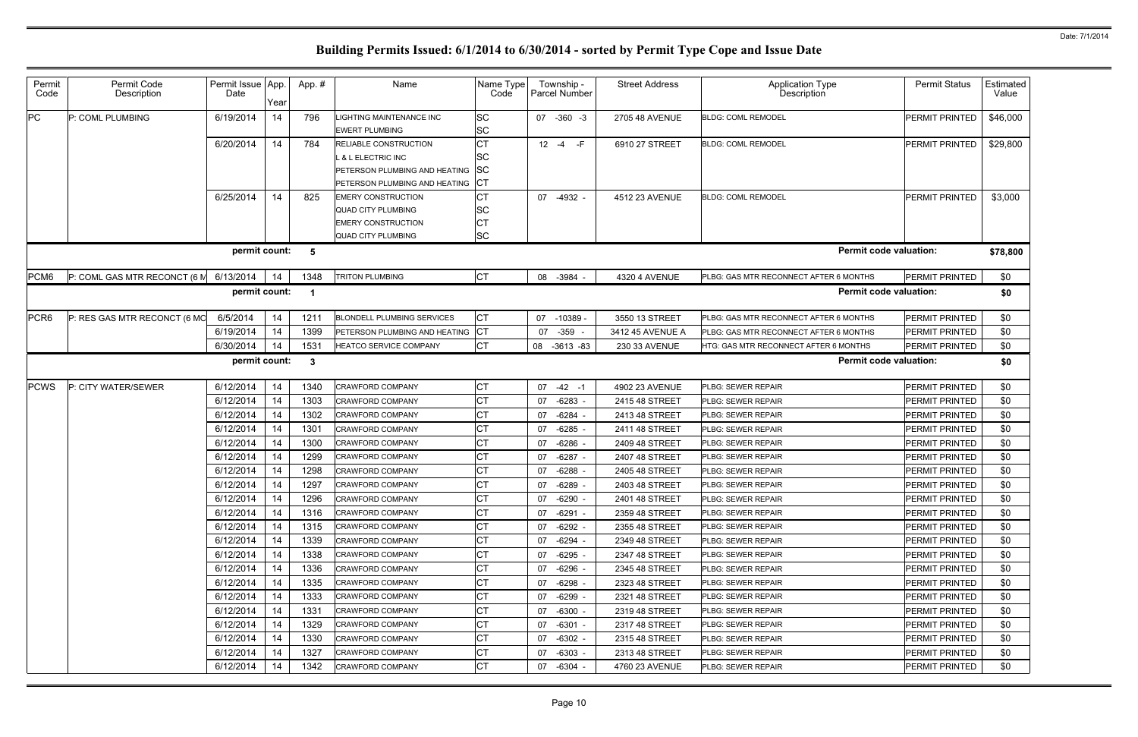| Permit<br>Code | Permit Code<br>Description   | Permit Issue App.<br>Date | Year | App. #       | Name                                                                                                                 | Name Type<br>Code                         | Township -<br>Parcel Number | <b>Street Address</b> | <b>Application Type</b><br>Description       | <b>Permit Status</b>  | Estimated<br>Value |
|----------------|------------------------------|---------------------------|------|--------------|----------------------------------------------------------------------------------------------------------------------|-------------------------------------------|-----------------------------|-----------------------|----------------------------------------------|-----------------------|--------------------|
| <b>PC</b>      | P: COML PLUMBING             | 6/19/2014                 | 14   | 796          | LIGHTING MAINTENANCE INC<br><b>EWERT PLUMBING</b>                                                                    | <b>SC</b><br><b>SC</b>                    | 07 -360 -3                  | 2705 48 AVENUE        | <b>BLDG: COML REMODEL</b>                    | <b>PERMIT PRINTED</b> | \$46,000           |
|                |                              | 6/20/2014                 | 14   | 784          | <b>RELIABLE CONSTRUCTION</b><br>L & L ELECTRIC INC<br>PETERSON PLUMBING AND HEATING<br>PETERSON PLUMBING AND HEATING | <b>CT</b><br>SC<br><b>SC</b><br><b>CT</b> | $12 - 4$<br>$-F$            | 6910 27 STREET        | <b>BLDG: COML REMODEL</b>                    | PERMIT PRINTED        | \$29,800           |
|                |                              | 6/25/2014                 | 14   | 825          | <b>EMERY CONSTRUCTION</b><br><b>QUAD CITY PLUMBING</b><br><b>EMERY CONSTRUCTION</b><br><b>QUAD CITY PLUMBING</b>     | <b>CT</b><br>SC<br><b>CT</b><br><b>SC</b> | 07 -4932 -                  | 4512 23 AVENUE        | <b>BLDG: COML REMODEL</b>                    | <b>PERMIT PRINTED</b> | \$3,000            |
|                |                              | permit count:             |      | 5            |                                                                                                                      |                                           |                             |                       | <b>Permit code valuation:</b>                |                       | \$78,800           |
| PCM6           | P: COML GAS MTR RECONCT (6 M | 6/13/2014                 | 14   | 1348         | <b>TRITON PLUMBING</b>                                                                                               | <b>CT</b>                                 | $-3984 -$<br>08             | 4320 4 AVENUE         | PLBG: GAS MTR RECONNECT AFTER 6 MONTHS       | <b>PERMIT PRINTED</b> | \$0                |
|                |                              | permit count:             |      | -1           |                                                                                                                      |                                           |                             |                       | <b>Permit code valuation:</b>                |                       | \$0                |
| PCR6           | P: RES GAS MTR RECONCT (6 MO | 6/5/2014                  | 14   | 1211         | <b>BLONDELL PLUMBING SERVICES</b>                                                                                    | <b>CT</b>                                 | 07<br>$-10389$              | 3550 13 STREET        | PLBG: GAS MTR RECONNECT AFTER 6 MONTHS       | <b>PERMIT PRINTED</b> | \$0                |
|                |                              | 6/19/2014                 | 14   | 1399         | PETERSON PLUMBING AND HEATING                                                                                        | <b>CT</b>                                 | $-359 -$<br>07              | 3412 45 AVENUE A      | PLBG: GAS MTR RECONNECT AFTER 6 MONTHS       | <b>PERMIT PRINTED</b> | \$0                |
|                |                              | 6/30/2014                 | 14   | 1531         | HEATCO SERVICE COMPANY                                                                                               | <b>CT</b>                                 | 08 -3613 -83                | 230 33 AVENUE         | <b>HTG: GAS MTR RECONNECT AFTER 6 MONTHS</b> | <b>PERMIT PRINTED</b> | \$0                |
|                |                              | permit count:             |      | $\mathbf{3}$ |                                                                                                                      |                                           |                             |                       | <b>Permit code valuation:</b>                |                       | \$0                |
| <b>PCWS</b>    | P: CITY WATER/SEWER          | 6/12/2014                 | 14   | 1340         | <b>CRAWFORD COMPANY</b>                                                                                              | <b>CT</b>                                 | 07<br>$-42 - 1$             | 4902 23 AVENUE        | PLBG: SEWER REPAIR                           | PERMIT PRINTED        | \$0                |
|                |                              | 6/12/2014                 | 14   | 1303         | <b>CRAWFORD COMPANY</b>                                                                                              | <b>CT</b>                                 | $-6283$<br>07               | 2415 48 STREET        | <b>LBG: SEWER REPAIR</b>                     | PERMIT PRINTED        | \$0                |
|                |                              | 6/12/2014                 | 14   | 1302         | <b>CRAWFORD COMPANY</b>                                                                                              | <b>CT</b>                                 | $-6284$<br>07               | 2413 48 STREET        | <b>LBG: SEWER REPAIR</b>                     | PERMIT PRINTED        | \$0                |
|                |                              | 6/12/2014                 | 14   | 1301         | <b>CRAWFORD COMPANY</b>                                                                                              | <b>CT</b>                                 | $-6285$<br>07               | 2411 48 STREET        | PLBG: SEWER REPAIR                           | <b>PERMIT PRINTED</b> | \$0                |
|                |                              | 6/12/2014                 | 14   | 1300         | <b>CRAWFORD COMPANY</b>                                                                                              | <b>CT</b>                                 | $-6286$<br>07               | 2409 48 STREET        | <b>LBG: SEWER REPAIR</b>                     | <b>PERMIT PRINTED</b> | \$0                |
|                |                              | 6/12/2014                 | 14   | 1299         | <b>CRAWFORD COMPANY</b>                                                                                              | <b>CT</b>                                 | $-6287 -$<br>07             | 2407 48 STREET        | PLBG: SEWER REPAIR                           | PERMIT PRINTED        | \$0                |
|                |                              | 6/12/2014                 | 14   | 1298         | <b>CRAWFORD COMPANY</b>                                                                                              | <b>CT</b>                                 | $-6288$<br>07               | 2405 48 STREET        | PLBG: SEWER REPAIR                           | PERMIT PRINTED        | \$0                |
|                |                              | 6/12/2014                 | 14   | 1297         | <b>CRAWFORD COMPANY</b>                                                                                              | <b>CT</b>                                 | $-6289$<br>07               | 2403 48 STREET        | PLBG: SEWER REPAIR                           | PERMIT PRINTED        | \$0                |
|                |                              | 6/12/2014                 | 14   | 1296         | <b>CRAWFORD COMPANY</b>                                                                                              | <b>CT</b>                                 | 07 -6290 -                  | 2401 48 STREET        | PLBG: SEWER REPAIR                           | <b>PERMIT PRINTED</b> | \$0                |
|                |                              | 6/12/2014                 | 14   | 1316         | <b>CRAWFORD COMPANY</b>                                                                                              | <b>CT</b>                                 | $-6291 -$<br>07             | 2359 48 STREET        | PLBG: SEWER REPAIR                           | PERMIT PRINTED        | \$0                |
|                |                              | 6/12/2014                 | 14   | 1315         | <b>CRAWFORD COMPANY</b>                                                                                              | <b>CT</b>                                 | 07<br>$-6292 -$             | 2355 48 STREET        | PLBG: SEWER REPAIR                           | <b>PERMIT PRINTED</b> | \$0                |
|                |                              | 6/12/2014                 | 14   | 1339         | <b>CRAWFORD COMPANY</b>                                                                                              | <b>CT</b>                                 | $-6294 -$<br>07             | 2349 48 STREET        | PLBG: SEWER REPAIR                           | <b>PERMIT PRINTED</b> | \$0                |
|                |                              | 6/12/2014                 | 14   | 1338         | <b>CRAWFORD COMPANY</b>                                                                                              | <b>CT</b>                                 | $-6295 -$<br>07             | 2347 48 STREET        | PLBG: SEWER REPAIR                           | <b>PERMIT PRINTED</b> | \$0                |
|                |                              | 6/12/2014                 | 14   | 1336         | <b>CRAWFORD COMPANY</b>                                                                                              | <b>CT</b>                                 | -6296<br>07                 | 2345 48 STREET        | PLBG: SEWER REPAIR                           | <b>PERMIT PRINTED</b> | \$0                |
|                |                              | 6/12/2014                 | 14   | 1335         | <b>CRAWFORD COMPANY</b>                                                                                              | СT                                        | $-6298 -$<br>07             | 2323 48 STREET        | PLBG: SEWER REPAIR                           | <b>PERMIT PRINTED</b> | \$0                |
|                |                              | 6/12/2014                 | 14   | 1333         | <b>CRAWFORD COMPANY</b>                                                                                              | <b>CT</b>                                 | 07<br>$-6299 -$             | 2321 48 STREET        | PLBG: SEWER REPAIR                           | <b>PERMIT PRINTED</b> | \$0                |
|                |                              | 6/12/2014                 | 14   | 1331         | <b>CRAWFORD COMPANY</b>                                                                                              | <b>CT</b>                                 | 07<br>-6300 -               | 2319 48 STREET        | PLBG: SEWER REPAIR                           | <b>PERMIT PRINTED</b> | \$0                |
|                |                              | 6/12/2014                 | 14   | 1329         | <b>CRAWFORD COMPANY</b>                                                                                              | <b>CT</b>                                 | $-6301 -$<br>07             | 2317 48 STREET        | PLBG: SEWER REPAIR                           | <b>PERMIT PRINTED</b> | \$0                |
|                |                              | 6/12/2014                 | 14   | 1330         | <b>CRAWFORD COMPANY</b>                                                                                              | <b>CT</b>                                 | -6302 -<br>07               | 2315 48 STREET        | PLBG: SEWER REPAIR                           | <b>PERMIT PRINTED</b> | \$0                |
|                |                              | 6/12/2014                 | 14   | 1327         | <b>CRAWFORD COMPANY</b>                                                                                              | <b>CT</b>                                 | 07<br>$-6303 -$             | 2313 48 STREET        | PLBG: SEWER REPAIR                           | <b>PERMIT PRINTED</b> | \$0                |
|                |                              | 6/12/2014                 | 14   | 1342         | <b>CRAWFORD COMPANY</b>                                                                                              | <b>CT</b>                                 | 07 -6304 -                  | 4760 23 AVENUE        | PLBG: SEWER REPAIR                           | <b>PERMIT PRINTED</b> | \$0                |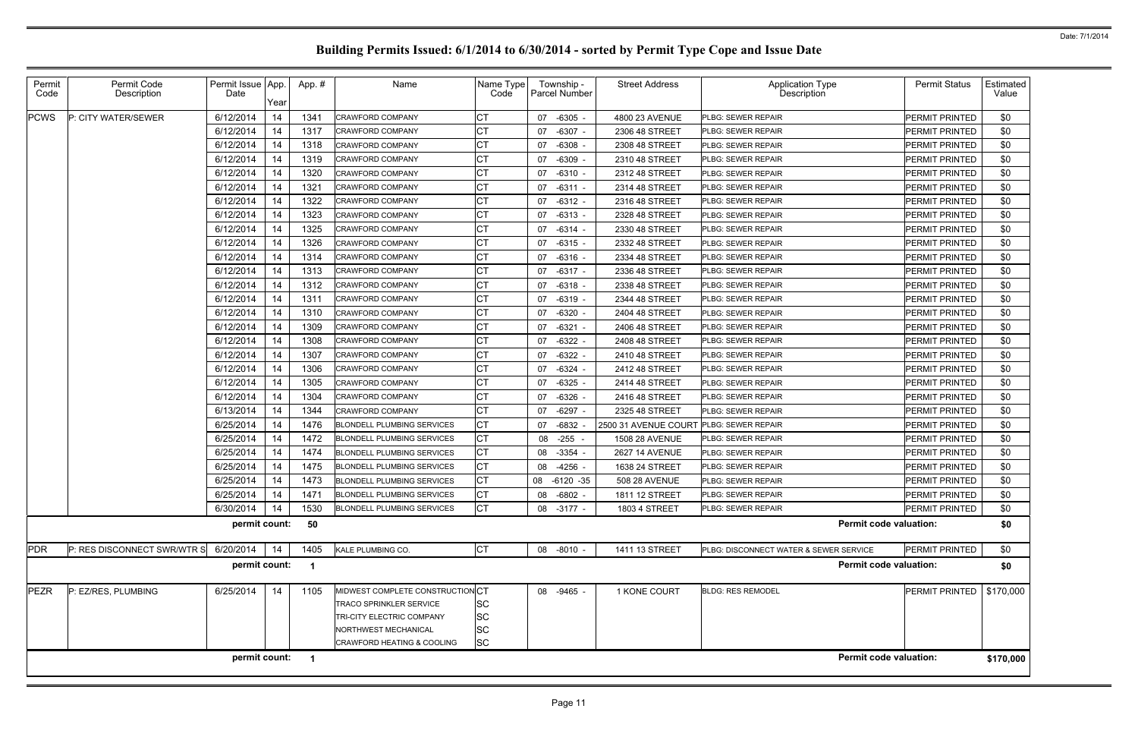| Permit<br>Code | Permit Code<br>Description  | Permit Issue   App.<br>Date | Year | App.#                | Name                              | Name Type<br>Code | Township -<br>Parcel Number | <b>Street Address</b> | Application Type<br>Description        | <b>Permit Status</b>  | Estimated  <br>Value |
|----------------|-----------------------------|-----------------------------|------|----------------------|-----------------------------------|-------------------|-----------------------------|-----------------------|----------------------------------------|-----------------------|----------------------|
| <b>PCWS</b>    | P: CITY WATER/SEWER         | 6/12/2014                   | 14   | 1341                 | <b>CRAWFORD COMPANY</b>           | СT                | $-6305 -$<br>07             | 4800 23 AVENUE        | PLBG: SEWER REPAIR                     | PERMIT PRINTED        | \$0                  |
|                |                             | 6/12/2014                   | 14   | 1317                 | <b>CRAWFORD COMPANY</b>           | СT                | 07<br>$-6307 -$             | 2306 48 STREET        | PLBG: SEWER REPAIR                     | PERMIT PRINTED        | \$0                  |
|                |                             | 6/12/2014                   | 14   | 1318                 | <b>CRAWFORD COMPANY</b>           |                   | $-6308$ -<br>07             | 2308 48 STREET        | PLBG: SEWER REPAIR                     | PERMIT PRINTED        | \$0                  |
|                |                             | 6/12/2014                   | 14   | 1319                 | <b>CRAWFORD COMPANY</b>           | СT                | $-6309$ -<br>07             | 2310 48 STREET        | PLBG: SEWER REPAIR                     | PERMIT PRINTED        | \$0                  |
|                |                             | 6/12/2014                   | 14   | 1320                 | <b>CRAWFORD COMPANY</b>           | СT                | $-6310 -$<br>07             | 2312 48 STREET        | PLBG: SEWER REPAIR                     | PERMIT PRINTED        | \$0                  |
|                |                             | 6/12/2014                   | 14   | 1321                 | <b>CRAWFORD COMPANY</b>           | СT                | 07<br>$-6311 -$             | 2314 48 STREET        | PLBG: SEWER REPAIR                     | PERMIT PRINTED        | \$0                  |
|                |                             | 6/12/2014                   | 14   | 1322                 | <b>CRAWFORD COMPANY</b>           | СT                | $-6312 -$<br>07             | 2316 48 STREET        | PLBG: SEWER REPAIR                     | PERMIT PRINTED        | \$0                  |
|                |                             | 6/12/2014                   | 14   | 1323                 | <b>CRAWFORD COMPANY</b>           | СT                | $-6313 -$<br>07             | 2328 48 STREET        | PLBG: SEWER REPAIR                     | PERMIT PRINTED        | \$0                  |
|                |                             | 6/12/2014                   | 14   | 1325                 | <b>CRAWFORD COMPANY</b>           | СT                | $-6314 -$<br>07             | 2330 48 STREET        | PLBG: SEWER REPAIR                     | PERMIT PRINTED        | \$0                  |
|                |                             | 6/12/2014                   | 14   | 1326                 | <b>CRAWFORD COMPANY</b>           | СT                | $-6315 -$<br>07             | 2332 48 STREET        | PLBG: SEWER REPAIR                     | PERMIT PRINTED        | \$0                  |
|                |                             | 6/12/2014                   | 14   | 1314                 | <b>CRAWFORD COMPANY</b>           | СT                | $-6316 -$<br>07             | 2334 48 STREET        | PLBG: SEWER REPAIR                     | PERMIT PRINTED        | \$0                  |
|                |                             | 6/12/2014                   | 14   | 1313                 | CRAWFORD COMPANY                  | СT                | $-6317 -$<br>07             | 2336 48 STREET        | PLBG: SEWER REPAIR                     | PERMIT PRINTED        | \$0                  |
|                |                             | 6/12/2014                   | 14   | 1312                 | <b>CRAWFORD COMPANY</b>           | СT                | $-6318 -$<br>07             | 2338 48 STREET        | PLBG: SEWER REPAIR                     | PERMIT PRINTED        | \$0                  |
|                |                             | 6/12/2014                   | 14   | 1311                 | <b>CRAWFORD COMPANY</b>           | СT                | 07<br>$-6319 -$             | 2344 48 STREET        | PLBG: SEWER REPAIR                     | PERMIT PRINTED        | \$0                  |
|                |                             | 6/12/2014                   | 14   | 1310                 | <b>CRAWFORD COMPANY</b>           |                   | $-6320 -$<br>07             | 2404 48 STREET        | PLBG: SEWER REPAIR                     | PERMIT PRINTED        | \$0                  |
|                |                             | 6/12/2014                   | 14   | 1309                 | <b>CRAWFORD COMPANY</b>           | СT                | $-6321 -$<br>07             | 2406 48 STREET        | PLBG: SEWER REPAIR                     | PERMIT PRINTED        | \$0                  |
|                |                             | 6/12/2014                   | 14   | 1308                 | <b>CRAWFORD COMPANY</b>           | СT                | $-6322$ -<br>07             | 2408 48 STREET        | PLBG: SEWER REPAIR                     | PERMIT PRINTED        | \$0                  |
|                |                             | 6/12/2014                   | 14   | 1307                 | <b>CRAWFORD COMPANY</b>           | СT                | $-6322$ -<br>07             | 2410 48 STREET        | PLBG: SEWER REPAIR                     | PERMIT PRINTED        | \$0                  |
|                |                             | 6/12/2014                   | 14   | 1306                 | <b>CRAWFORD COMPANY</b>           | СT                | $-6324 -$<br>07             | 2412 48 STREET        | PLBG: SEWER REPAIR                     | PERMIT PRINTED        | \$0                  |
|                |                             | 6/12/2014                   | 14   | 1305                 | <b>CRAWFORD COMPANY</b>           | СT                | $-6325$ -<br>07             | 2414 48 STREET        | PLBG: SEWER REPAIR                     | PERMIT PRINTED        | \$0                  |
|                |                             | 6/12/2014                   | 14   | 1304                 | <b>CRAWFORD COMPANY</b>           | СT                | $-6326 -$<br>07             | 2416 48 STREET        | PLBG: SEWER REPAIR                     | PERMIT PRINTED        | \$0                  |
|                |                             | 6/13/2014                   | 14   | 1344                 | <b>CRAWFORD COMPANY</b>           | СT                | $-6297 -$<br>07             | 2325 48 STREET        | PLBG: SEWER REPAIR                     | PERMIT PRINTED        | \$0                  |
|                |                             | 6/25/2014                   | 14   | 1476                 | <b>BLONDELL PLUMBING SERVICES</b> | СT                | $-6832$<br>07               | 2500 31 AVENUE COURT  | PLBG: SEWER REPAIR                     | PERMIT PRINTED        | \$0                  |
|                |                             | 6/25/2014                   | 14   | 1472                 | <b>BLONDELL PLUMBING SERVICES</b> | СT                | $-255$<br>08                | 1508 28 AVENUE        | PLBG: SEWER REPAIR                     | PERMIT PRINTED        | \$0                  |
|                |                             | 6/25/2014                   | 14   | 1474                 | <b>BLONDELL PLUMBING SERVICES</b> | СT                | $-3354 -$<br>08             | 2627 14 AVENUE        | PLBG: SEWER REPAIR                     | PERMIT PRINTED        | \$0                  |
|                |                             | 6/25/2014                   | 14   | 1475                 | <b>BLONDELL PLUMBING SERVICES</b> | СT                | $-4256 -$<br>08             | 1638 24 STREET        | PLBG: SEWER REPAIR                     | PERMIT PRINTED        | \$0                  |
|                |                             | 6/25/2014                   | 14   | 1473                 | <b>BLONDELL PLUMBING SERVICES</b> | СT                | 08 -6120 -35                | 508 28 AVENUE         | PLBG: SEWER REPAIR                     | PERMIT PRINTED        | \$0                  |
|                |                             | 6/25/2014                   | 14   | 1471                 | <b>BLONDELL PLUMBING SERVICES</b> | <b>CT</b>         | 08<br>-6802 -               | 1811 12 STREET        | PLBG: SEWER REPAIR                     | <b>PERMIT PRINTED</b> | \$0                  |
|                |                             | 6/30/2014                   | 14   | 1530                 | <b>BLONDELL PLUMBING SERVICES</b> | СT                | 08 -3177 -                  | <b>1803 4 STREET</b>  | PLBG: SEWER REPAIR                     | PERMIT PRINTED        | \$0                  |
|                |                             | permit count:               |      | 50                   |                                   |                   |                             |                       | <b>Permit code valuation:</b>          |                       | \$0                  |
| <b>PDR</b>     | P: RES DISCONNECT SWR/WTR S | 6/20/2014                   | 14   | 1405                 | KALE PLUMBING CO.                 | <b>CT</b>         | 08 -8010 -                  | 1411 13 STREET        | PLBG: DISCONNECT WATER & SEWER SERVICE | PERMIT PRINTED        | \$0                  |
|                |                             | permit count:               |      | -1                   |                                   |                   |                             |                       | <b>Permit code valuation:</b>          |                       | \$0                  |
| <b>PEZR</b>    | P: EZ/RES, PLUMBING         | 6/25/2014                   | 14   | 1105                 | MIDWEST COMPLETE CONSTRUCTION CT  |                   | 08 -9465 -                  | 1 KONE COURT          | <b>BLDG: RES REMODEL</b>               | <b>PERMIT PRINTED</b> | \$170,000            |
|                |                             |                             |      |                      | <b>TRACO SPRINKLER SERVICE</b>    | <b>SC</b>         |                             |                       |                                        |                       |                      |
|                |                             |                             |      |                      | TRI-CITY ELECTRIC COMPANY         | <b>SC</b>         |                             |                       |                                        |                       |                      |
|                |                             |                             |      |                      | NORTHWEST MECHANICAL              | <b>SC</b>         |                             |                       |                                        |                       |                      |
|                |                             |                             |      |                      | CRAWFORD HEATING & COOLING        | <b>SC</b>         |                             |                       |                                        |                       |                      |
|                |                             | permit count:               |      | $\blacktriangleleft$ |                                   |                   |                             |                       | <b>Permit code valuation:</b>          |                       | \$170,000            |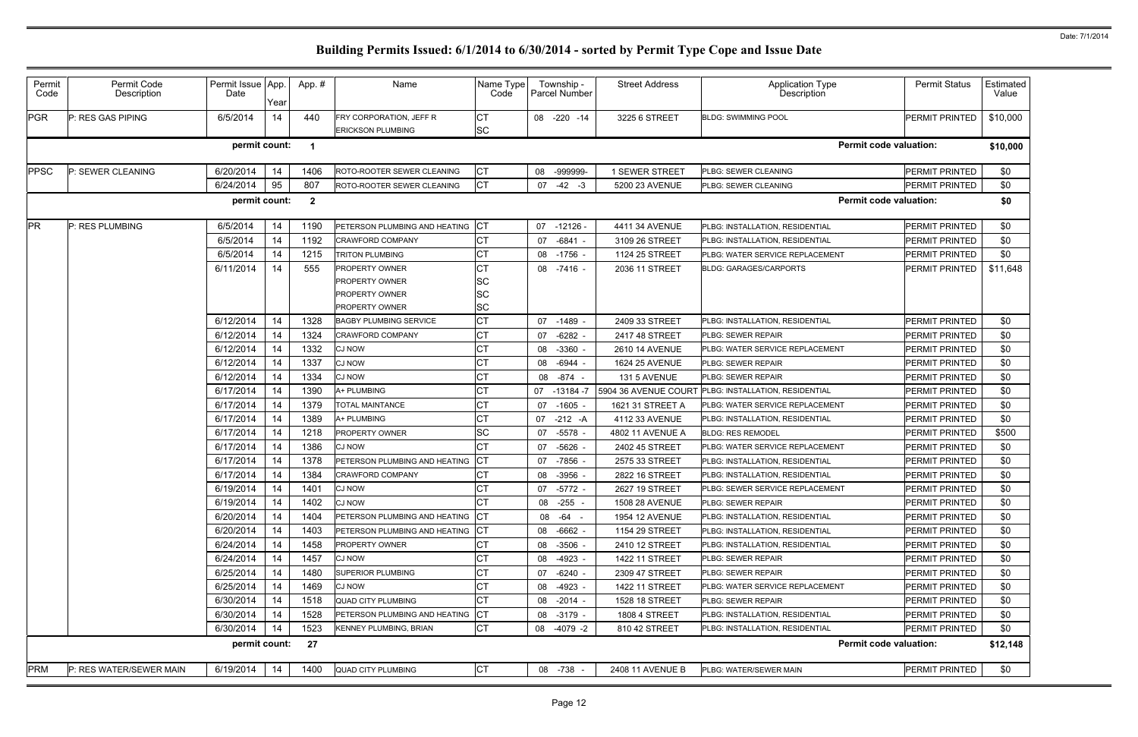| <b>PGR</b><br>6/5/2014<br>СT<br>P: RES GAS PIPING<br>14<br>440<br>08 -220 -14<br>3225 6 STREET<br><b>PERMIT PRINTED</b><br>FRY CORPORATION, JEFF R<br><b>BLDG: SWIMMING POOL</b><br><b>SC</b><br><b>ERICKSON PLUMBING</b><br>permit count:<br><b>Permit code valuation:</b><br>-1<br><b>CT</b><br><b>PPSC</b><br>6/20/2014<br>14<br>1406<br><b>PERMIT PRINTED</b><br>P: SEWER CLEANING<br>ROTO-ROOTER SEWER CLEANING<br>08<br>-999999-<br>1 SEWER STREET<br>PLBG: SEWER CLEANING<br><b>CT</b><br>6/24/2014<br>95<br>807<br>$-42 - 3$<br><b>PERMIT PRINTED</b><br>ROTO-ROOTER SEWER CLEANING<br>07<br>5200 23 AVENUE<br>PLBG: SEWER CLEANING<br>permit count:<br>$\overline{2}$<br><b>Permit code valuation:</b><br>PR<br>6/5/2014<br>PETERSON PLUMBING AND HEATING CT<br>P: RES PLUMBING<br>14<br>1190<br>07 -12126 -<br>4411 34 AVENUE<br>PLBG: INSTALLATION, RESIDENTIAL<br>PERMIT PRINTED<br>СT<br>6/5/2014<br>14<br>$-6841 -$<br>1192<br>07<br>3109 26 STREET<br><b>PERMIT PRINTED</b><br><b>CRAWFORD COMPANY</b><br>PLBG: INSTALLATION, RESIDENTIAL<br>6/5/2014<br>14<br>СT<br>1215<br><b>TRITON PLUMBING</b><br>$-1756 -$<br>1124 25 STREET<br><b>PERMIT PRINTED</b><br>08<br>PLBG: WATER SERVICE REPLACEMENT<br>6/11/2014<br>555<br>14<br>CТ<br>08 -7416 -<br>PERMIT PRINTED<br><b>PROPERTY OWNER</b><br>2036 11 STREET<br><b>BLDG: GARAGES/CARPORTS</b><br>SC<br><b>PROPERTY OWNER</b><br>SC<br><b>PROPERTY OWNER</b><br>SC<br><b>PROPERTY OWNER</b><br>14<br><b>CT</b><br>6/12/2014<br>1328<br><b>BAGBY PLUMBING SERVICE</b><br>PLBG: INSTALLATION, RESIDENTIAL<br><b>PERMIT PRINTED</b><br>07<br>-1489 -<br>2409 33 STREET<br>6/12/2014<br>14<br>СT<br>1324<br><b>CRAWFORD COMPANY</b><br>$-6282$<br><b>PLBG: SEWER REPAIR</b><br><b>PERMIT PRINTED</b><br>07<br>2417 48 STREET<br>СT<br>6/12/2014<br>14<br>1332<br><b>CJ NOW</b><br>$-3360$<br>PLBG: WATER SERVICE REPLACEMENT<br>PERMIT PRINTED<br>08<br>2610 14 AVENUE<br>6/12/2014<br>1337<br>СT<br>14<br><b>CJ NOW</b><br>-6944<br>08<br>1624 25 AVENUE<br><b>PLBG: SEWER REPAIR</b><br><b>PERMIT PRINTED</b><br><b>CT</b><br>6/12/2014<br>14<br>1334<br><b>CJ NOW</b><br>08 - 874 -<br>131 5 AVENUE<br>PLBG: SEWER REPAIR<br><b>PERMIT PRINTED</b><br>6/17/2014<br>1390<br>СT<br>14<br>A+ PLUMBING<br>$-13184 - 7$<br>5904 36 AVENUE COURT PLBG: INSTALLATION, RESIDENTIAL<br>07<br><b>PERMIT PRINTED</b><br>6/17/2014<br>14<br>1379<br>СT<br><b>TOTAL MAINTANCE</b><br>$-1605$<br>1621 31 STREET A<br>PLBG: WATER SERVICE REPLACEMENT<br>PERMIT PRINTED<br>07<br>СT<br>6/17/2014<br>14<br>1389<br>A+ PLUMBING<br>$-212 - A$<br>4112 33 AVENUE<br>PLBG: INSTALLATION, RESIDENTIAL<br><b>PERMIT PRINTED</b><br>07<br>SC<br>6/17/2014<br>14<br>1218<br>PROPERTY OWNER<br>$-5578 -$<br>4802 11 AVENUE A<br><b>PERMIT PRINTED</b><br>07<br><b>BLDG: RES REMODEL</b><br>1386<br>СT<br>6/17/2014<br>14<br><b>CJ NOW</b><br>$-5626$ -<br>2402 45 STREET<br><b>PERMIT PRINTED</b><br>07<br>PLBG: WATER SERVICE REPLACEMENT<br>6/17/2014<br>14<br>1378<br><b>ICT</b><br>PETERSON PLUMBING AND HEATING<br>-7856 -<br>2575 33 STREET<br><b>PERMIT PRINTED</b><br>07<br><b>PLBG: INSTALLATION, RESIDENTIAL</b><br>1384<br>6/17/2014<br>14<br>CТ<br><b>CRAWFORD COMPANY</b><br>08<br>$-3956$<br>2822 16 STREET<br>PLBG: INSTALLATION, RESIDENTIAL<br><b>PERMIT PRINTED</b><br><b>CT</b><br>14<br>6/19/2014<br>1401<br>PERMIT PRINTED<br><b>CJ NOW</b><br>07 -5772<br>2627 19 STREET<br>PLBG: SEWER SERVICE REPLACEMENT<br><b>CT</b><br>6/19/2014<br>14<br>1402<br>08 -255 -<br><b>PERMIT PRINTED</b><br><b>CJ NOW</b><br>1508 28 AVENUE<br><b>PLBG: SEWER REPAIR</b><br>6/20/2014<br>14<br>1404<br>PETERSON PLUMBING AND HEATING CT<br>PERMIT PRINTED<br>08 - 64 -<br>1954 12 AVENUE<br>PLBG: INSTALLATION, RESIDENTIAL<br>6/20/2014<br>14<br>1403<br>PETERSON PLUMBING AND HEATING CT<br>PERMIT PRINTED<br>08 -6662 -<br>1154 29 STREET<br>PLBG: INSTALLATION, RESIDENTIAL<br><b>CT</b><br>6/24/2014<br>14<br>1458<br>08 -3506 -<br><b>PERMIT PRINTED</b><br><b>PROPERTY OWNER</b><br>2410 12 STREET<br>PLBG: INSTALLATION, RESIDENTIAL<br>СT<br>6/24/2014<br>14<br>1457<br><b>CJ NOW</b><br>08<br>$-4923 -$<br>1422 11 STREET<br><b>PLBG: SEWER REPAIR</b><br><b>PERMIT PRINTED</b><br>14<br>СT<br>6/25/2014<br>1480<br><b>SUPERIOR PLUMBING</b><br>PLBG: SEWER REPAIR<br><b>PERMIT PRINTED</b><br>07<br>-6240 -<br>2309 47 STREET<br>СT<br>6/25/2014<br>14<br>1469<br><b>CJ NOW</b><br>$-4923 -$<br>PLBG: WATER SERVICE REPLACEMENT<br>PERMIT PRINTED<br>08<br>1422 11 STREET<br><b>CT</b><br>6/30/2014<br>14<br>1518<br><b>QUAD CITY PLUMBING</b><br>$-2014 -$<br>PLBG: SEWER REPAIR<br><b>PERMIT PRINTED</b><br>1528 18 STREET<br>08<br><b>ICT</b><br>6/30/2014<br>14<br>1528<br>PETERSON PLUMBING AND HEATING<br>08 -3179 -<br>PLBG: INSTALLATION, RESIDENTIAL<br>PERMIT PRINTED<br><b>1808 4 STREET</b><br><b>CT</b><br>6/30/2014<br>14<br>1523<br>KENNEY PLUMBING, BRIAN<br>08 -4079 -2<br>810 42 STREET<br>PLBG: INSTALLATION, RESIDENTIAL<br><b>PERMIT PRINTED</b><br>permit count:<br><b>Permit code valuation:</b><br>27<br><b>PRM</b><br>6/19/2014<br>P: RES WATER/SEWER MAIN<br>14<br>1400<br><b>QUAD CITY PLUMBING</b><br>08 -738 -<br>PLBG: WATER/SEWER MAIN<br><b>PERMIT PRINTED</b><br>2408 11 AVENUE B | Permit<br>Code | Permit Code<br>Description | Permit Issue App.<br>Date | Year | App. # | Name | Name Type<br>Code | Township -<br><b>Parcel Number</b> | <b>Street Address</b> | <b>Application Type</b><br><b>Description</b> | <b>Permit Status</b> | <b>Estimated</b><br>Value |
|------------------------------------------------------------------------------------------------------------------------------------------------------------------------------------------------------------------------------------------------------------------------------------------------------------------------------------------------------------------------------------------------------------------------------------------------------------------------------------------------------------------------------------------------------------------------------------------------------------------------------------------------------------------------------------------------------------------------------------------------------------------------------------------------------------------------------------------------------------------------------------------------------------------------------------------------------------------------------------------------------------------------------------------------------------------------------------------------------------------------------------------------------------------------------------------------------------------------------------------------------------------------------------------------------------------------------------------------------------------------------------------------------------------------------------------------------------------------------------------------------------------------------------------------------------------------------------------------------------------------------------------------------------------------------------------------------------------------------------------------------------------------------------------------------------------------------------------------------------------------------------------------------------------------------------------------------------------------------------------------------------------------------------------------------------------------------------------------------------------------------------------------------------------------------------------------------------------------------------------------------------------------------------------------------------------------------------------------------------------------------------------------------------------------------------------------------------------------------------------------------------------------------------------------------------------------------------------------------------------------------------------------------------------------------------------------------------------------------------------------------------------------------------------------------------------------------------------------------------------------------------------------------------------------------------------------------------------------------------------------------------------------------------------------------------------------------------------------------------------------------------------------------------------------------------------------------------------------------------------------------------------------------------------------------------------------------------------------------------------------------------------------------------------------------------------------------------------------------------------------------------------------------------------------------------------------------------------------------------------------------------------------------------------------------------------------------------------------------------------------------------------------------------------------------------------------------------------------------------------------------------------------------------------------------------------------------------------------------------------------------------------------------------------------------------------------------------------------------------------------------------------------------------------------------------------------------------------------------------------------------------------------------------------------------------------------------------------------------------------------------------------------------------------------------------------------------------------------------------------------------------------------------------------------------------------------------------------------------------------------------------------------------------------------------------------------------------------------------------------------------------------------------------------------------------------------------------------------------------------------------------------------------------------------------------------------------------------------------------------------------------------------------------------------------------------------------------------------------------------------------------------------------------------------------------------------------------------------------------------------------------------------------|----------------|----------------------------|---------------------------|------|--------|------|-------------------|------------------------------------|-----------------------|-----------------------------------------------|----------------------|---------------------------|
|                                                                                                                                                                                                                                                                                                                                                                                                                                                                                                                                                                                                                                                                                                                                                                                                                                                                                                                                                                                                                                                                                                                                                                                                                                                                                                                                                                                                                                                                                                                                                                                                                                                                                                                                                                                                                                                                                                                                                                                                                                                                                                                                                                                                                                                                                                                                                                                                                                                                                                                                                                                                                                                                                                                                                                                                                                                                                                                                                                                                                                                                                                                                                                                                                                                                                                                                                                                                                                                                                                                                                                                                                                                                                                                                                                                                                                                                                                                                                                                                                                                                                                                                                                                                                                                                                                                                                                                                                                                                                                                                                                                                                                                                                                                                                                                                                                                                                                                                                                                                                                                                                                                                                                                                                                                                              |                |                            |                           |      |        |      |                   |                                    |                       |                                               |                      | \$10,000                  |
|                                                                                                                                                                                                                                                                                                                                                                                                                                                                                                                                                                                                                                                                                                                                                                                                                                                                                                                                                                                                                                                                                                                                                                                                                                                                                                                                                                                                                                                                                                                                                                                                                                                                                                                                                                                                                                                                                                                                                                                                                                                                                                                                                                                                                                                                                                                                                                                                                                                                                                                                                                                                                                                                                                                                                                                                                                                                                                                                                                                                                                                                                                                                                                                                                                                                                                                                                                                                                                                                                                                                                                                                                                                                                                                                                                                                                                                                                                                                                                                                                                                                                                                                                                                                                                                                                                                                                                                                                                                                                                                                                                                                                                                                                                                                                                                                                                                                                                                                                                                                                                                                                                                                                                                                                                                                              |                |                            |                           |      |        |      |                   |                                    |                       |                                               |                      | \$10,000                  |
|                                                                                                                                                                                                                                                                                                                                                                                                                                                                                                                                                                                                                                                                                                                                                                                                                                                                                                                                                                                                                                                                                                                                                                                                                                                                                                                                                                                                                                                                                                                                                                                                                                                                                                                                                                                                                                                                                                                                                                                                                                                                                                                                                                                                                                                                                                                                                                                                                                                                                                                                                                                                                                                                                                                                                                                                                                                                                                                                                                                                                                                                                                                                                                                                                                                                                                                                                                                                                                                                                                                                                                                                                                                                                                                                                                                                                                                                                                                                                                                                                                                                                                                                                                                                                                                                                                                                                                                                                                                                                                                                                                                                                                                                                                                                                                                                                                                                                                                                                                                                                                                                                                                                                                                                                                                                              |                |                            |                           |      |        |      |                   |                                    |                       |                                               |                      | \$0                       |
|                                                                                                                                                                                                                                                                                                                                                                                                                                                                                                                                                                                                                                                                                                                                                                                                                                                                                                                                                                                                                                                                                                                                                                                                                                                                                                                                                                                                                                                                                                                                                                                                                                                                                                                                                                                                                                                                                                                                                                                                                                                                                                                                                                                                                                                                                                                                                                                                                                                                                                                                                                                                                                                                                                                                                                                                                                                                                                                                                                                                                                                                                                                                                                                                                                                                                                                                                                                                                                                                                                                                                                                                                                                                                                                                                                                                                                                                                                                                                                                                                                                                                                                                                                                                                                                                                                                                                                                                                                                                                                                                                                                                                                                                                                                                                                                                                                                                                                                                                                                                                                                                                                                                                                                                                                                                              |                |                            |                           |      |        |      |                   |                                    |                       |                                               |                      | \$0                       |
|                                                                                                                                                                                                                                                                                                                                                                                                                                                                                                                                                                                                                                                                                                                                                                                                                                                                                                                                                                                                                                                                                                                                                                                                                                                                                                                                                                                                                                                                                                                                                                                                                                                                                                                                                                                                                                                                                                                                                                                                                                                                                                                                                                                                                                                                                                                                                                                                                                                                                                                                                                                                                                                                                                                                                                                                                                                                                                                                                                                                                                                                                                                                                                                                                                                                                                                                                                                                                                                                                                                                                                                                                                                                                                                                                                                                                                                                                                                                                                                                                                                                                                                                                                                                                                                                                                                                                                                                                                                                                                                                                                                                                                                                                                                                                                                                                                                                                                                                                                                                                                                                                                                                                                                                                                                                              |                |                            |                           |      |        |      |                   |                                    |                       |                                               |                      | \$0                       |
|                                                                                                                                                                                                                                                                                                                                                                                                                                                                                                                                                                                                                                                                                                                                                                                                                                                                                                                                                                                                                                                                                                                                                                                                                                                                                                                                                                                                                                                                                                                                                                                                                                                                                                                                                                                                                                                                                                                                                                                                                                                                                                                                                                                                                                                                                                                                                                                                                                                                                                                                                                                                                                                                                                                                                                                                                                                                                                                                                                                                                                                                                                                                                                                                                                                                                                                                                                                                                                                                                                                                                                                                                                                                                                                                                                                                                                                                                                                                                                                                                                                                                                                                                                                                                                                                                                                                                                                                                                                                                                                                                                                                                                                                                                                                                                                                                                                                                                                                                                                                                                                                                                                                                                                                                                                                              |                |                            |                           |      |        |      |                   |                                    |                       |                                               |                      | \$0                       |
|                                                                                                                                                                                                                                                                                                                                                                                                                                                                                                                                                                                                                                                                                                                                                                                                                                                                                                                                                                                                                                                                                                                                                                                                                                                                                                                                                                                                                                                                                                                                                                                                                                                                                                                                                                                                                                                                                                                                                                                                                                                                                                                                                                                                                                                                                                                                                                                                                                                                                                                                                                                                                                                                                                                                                                                                                                                                                                                                                                                                                                                                                                                                                                                                                                                                                                                                                                                                                                                                                                                                                                                                                                                                                                                                                                                                                                                                                                                                                                                                                                                                                                                                                                                                                                                                                                                                                                                                                                                                                                                                                                                                                                                                                                                                                                                                                                                                                                                                                                                                                                                                                                                                                                                                                                                                              |                |                            |                           |      |        |      |                   |                                    |                       |                                               |                      | \$0                       |
|                                                                                                                                                                                                                                                                                                                                                                                                                                                                                                                                                                                                                                                                                                                                                                                                                                                                                                                                                                                                                                                                                                                                                                                                                                                                                                                                                                                                                                                                                                                                                                                                                                                                                                                                                                                                                                                                                                                                                                                                                                                                                                                                                                                                                                                                                                                                                                                                                                                                                                                                                                                                                                                                                                                                                                                                                                                                                                                                                                                                                                                                                                                                                                                                                                                                                                                                                                                                                                                                                                                                                                                                                                                                                                                                                                                                                                                                                                                                                                                                                                                                                                                                                                                                                                                                                                                                                                                                                                                                                                                                                                                                                                                                                                                                                                                                                                                                                                                                                                                                                                                                                                                                                                                                                                                                              |                |                            |                           |      |        |      |                   |                                    |                       |                                               |                      | \$0                       |
|                                                                                                                                                                                                                                                                                                                                                                                                                                                                                                                                                                                                                                                                                                                                                                                                                                                                                                                                                                                                                                                                                                                                                                                                                                                                                                                                                                                                                                                                                                                                                                                                                                                                                                                                                                                                                                                                                                                                                                                                                                                                                                                                                                                                                                                                                                                                                                                                                                                                                                                                                                                                                                                                                                                                                                                                                                                                                                                                                                                                                                                                                                                                                                                                                                                                                                                                                                                                                                                                                                                                                                                                                                                                                                                                                                                                                                                                                                                                                                                                                                                                                                                                                                                                                                                                                                                                                                                                                                                                                                                                                                                                                                                                                                                                                                                                                                                                                                                                                                                                                                                                                                                                                                                                                                                                              |                |                            |                           |      |        |      |                   |                                    |                       |                                               |                      | \$11,648                  |
|                                                                                                                                                                                                                                                                                                                                                                                                                                                                                                                                                                                                                                                                                                                                                                                                                                                                                                                                                                                                                                                                                                                                                                                                                                                                                                                                                                                                                                                                                                                                                                                                                                                                                                                                                                                                                                                                                                                                                                                                                                                                                                                                                                                                                                                                                                                                                                                                                                                                                                                                                                                                                                                                                                                                                                                                                                                                                                                                                                                                                                                                                                                                                                                                                                                                                                                                                                                                                                                                                                                                                                                                                                                                                                                                                                                                                                                                                                                                                                                                                                                                                                                                                                                                                                                                                                                                                                                                                                                                                                                                                                                                                                                                                                                                                                                                                                                                                                                                                                                                                                                                                                                                                                                                                                                                              |                |                            |                           |      |        |      |                   |                                    |                       |                                               |                      |                           |
|                                                                                                                                                                                                                                                                                                                                                                                                                                                                                                                                                                                                                                                                                                                                                                                                                                                                                                                                                                                                                                                                                                                                                                                                                                                                                                                                                                                                                                                                                                                                                                                                                                                                                                                                                                                                                                                                                                                                                                                                                                                                                                                                                                                                                                                                                                                                                                                                                                                                                                                                                                                                                                                                                                                                                                                                                                                                                                                                                                                                                                                                                                                                                                                                                                                                                                                                                                                                                                                                                                                                                                                                                                                                                                                                                                                                                                                                                                                                                                                                                                                                                                                                                                                                                                                                                                                                                                                                                                                                                                                                                                                                                                                                                                                                                                                                                                                                                                                                                                                                                                                                                                                                                                                                                                                                              |                |                            |                           |      |        |      |                   |                                    |                       |                                               |                      |                           |
|                                                                                                                                                                                                                                                                                                                                                                                                                                                                                                                                                                                                                                                                                                                                                                                                                                                                                                                                                                                                                                                                                                                                                                                                                                                                                                                                                                                                                                                                                                                                                                                                                                                                                                                                                                                                                                                                                                                                                                                                                                                                                                                                                                                                                                                                                                                                                                                                                                                                                                                                                                                                                                                                                                                                                                                                                                                                                                                                                                                                                                                                                                                                                                                                                                                                                                                                                                                                                                                                                                                                                                                                                                                                                                                                                                                                                                                                                                                                                                                                                                                                                                                                                                                                                                                                                                                                                                                                                                                                                                                                                                                                                                                                                                                                                                                                                                                                                                                                                                                                                                                                                                                                                                                                                                                                              |                |                            |                           |      |        |      |                   |                                    |                       |                                               |                      |                           |
|                                                                                                                                                                                                                                                                                                                                                                                                                                                                                                                                                                                                                                                                                                                                                                                                                                                                                                                                                                                                                                                                                                                                                                                                                                                                                                                                                                                                                                                                                                                                                                                                                                                                                                                                                                                                                                                                                                                                                                                                                                                                                                                                                                                                                                                                                                                                                                                                                                                                                                                                                                                                                                                                                                                                                                                                                                                                                                                                                                                                                                                                                                                                                                                                                                                                                                                                                                                                                                                                                                                                                                                                                                                                                                                                                                                                                                                                                                                                                                                                                                                                                                                                                                                                                                                                                                                                                                                                                                                                                                                                                                                                                                                                                                                                                                                                                                                                                                                                                                                                                                                                                                                                                                                                                                                                              |                |                            |                           |      |        |      |                   |                                    |                       |                                               |                      | \$0                       |
|                                                                                                                                                                                                                                                                                                                                                                                                                                                                                                                                                                                                                                                                                                                                                                                                                                                                                                                                                                                                                                                                                                                                                                                                                                                                                                                                                                                                                                                                                                                                                                                                                                                                                                                                                                                                                                                                                                                                                                                                                                                                                                                                                                                                                                                                                                                                                                                                                                                                                                                                                                                                                                                                                                                                                                                                                                                                                                                                                                                                                                                                                                                                                                                                                                                                                                                                                                                                                                                                                                                                                                                                                                                                                                                                                                                                                                                                                                                                                                                                                                                                                                                                                                                                                                                                                                                                                                                                                                                                                                                                                                                                                                                                                                                                                                                                                                                                                                                                                                                                                                                                                                                                                                                                                                                                              |                |                            |                           |      |        |      |                   |                                    |                       |                                               |                      | \$0                       |
|                                                                                                                                                                                                                                                                                                                                                                                                                                                                                                                                                                                                                                                                                                                                                                                                                                                                                                                                                                                                                                                                                                                                                                                                                                                                                                                                                                                                                                                                                                                                                                                                                                                                                                                                                                                                                                                                                                                                                                                                                                                                                                                                                                                                                                                                                                                                                                                                                                                                                                                                                                                                                                                                                                                                                                                                                                                                                                                                                                                                                                                                                                                                                                                                                                                                                                                                                                                                                                                                                                                                                                                                                                                                                                                                                                                                                                                                                                                                                                                                                                                                                                                                                                                                                                                                                                                                                                                                                                                                                                                                                                                                                                                                                                                                                                                                                                                                                                                                                                                                                                                                                                                                                                                                                                                                              |                |                            |                           |      |        |      |                   |                                    |                       |                                               |                      | \$0                       |
|                                                                                                                                                                                                                                                                                                                                                                                                                                                                                                                                                                                                                                                                                                                                                                                                                                                                                                                                                                                                                                                                                                                                                                                                                                                                                                                                                                                                                                                                                                                                                                                                                                                                                                                                                                                                                                                                                                                                                                                                                                                                                                                                                                                                                                                                                                                                                                                                                                                                                                                                                                                                                                                                                                                                                                                                                                                                                                                                                                                                                                                                                                                                                                                                                                                                                                                                                                                                                                                                                                                                                                                                                                                                                                                                                                                                                                                                                                                                                                                                                                                                                                                                                                                                                                                                                                                                                                                                                                                                                                                                                                                                                                                                                                                                                                                                                                                                                                                                                                                                                                                                                                                                                                                                                                                                              |                |                            |                           |      |        |      |                   |                                    |                       |                                               |                      | \$0                       |
|                                                                                                                                                                                                                                                                                                                                                                                                                                                                                                                                                                                                                                                                                                                                                                                                                                                                                                                                                                                                                                                                                                                                                                                                                                                                                                                                                                                                                                                                                                                                                                                                                                                                                                                                                                                                                                                                                                                                                                                                                                                                                                                                                                                                                                                                                                                                                                                                                                                                                                                                                                                                                                                                                                                                                                                                                                                                                                                                                                                                                                                                                                                                                                                                                                                                                                                                                                                                                                                                                                                                                                                                                                                                                                                                                                                                                                                                                                                                                                                                                                                                                                                                                                                                                                                                                                                                                                                                                                                                                                                                                                                                                                                                                                                                                                                                                                                                                                                                                                                                                                                                                                                                                                                                                                                                              |                |                            |                           |      |        |      |                   |                                    |                       |                                               |                      | \$0                       |
|                                                                                                                                                                                                                                                                                                                                                                                                                                                                                                                                                                                                                                                                                                                                                                                                                                                                                                                                                                                                                                                                                                                                                                                                                                                                                                                                                                                                                                                                                                                                                                                                                                                                                                                                                                                                                                                                                                                                                                                                                                                                                                                                                                                                                                                                                                                                                                                                                                                                                                                                                                                                                                                                                                                                                                                                                                                                                                                                                                                                                                                                                                                                                                                                                                                                                                                                                                                                                                                                                                                                                                                                                                                                                                                                                                                                                                                                                                                                                                                                                                                                                                                                                                                                                                                                                                                                                                                                                                                                                                                                                                                                                                                                                                                                                                                                                                                                                                                                                                                                                                                                                                                                                                                                                                                                              |                |                            |                           |      |        |      |                   |                                    |                       |                                               |                      | \$0                       |
|                                                                                                                                                                                                                                                                                                                                                                                                                                                                                                                                                                                                                                                                                                                                                                                                                                                                                                                                                                                                                                                                                                                                                                                                                                                                                                                                                                                                                                                                                                                                                                                                                                                                                                                                                                                                                                                                                                                                                                                                                                                                                                                                                                                                                                                                                                                                                                                                                                                                                                                                                                                                                                                                                                                                                                                                                                                                                                                                                                                                                                                                                                                                                                                                                                                                                                                                                                                                                                                                                                                                                                                                                                                                                                                                                                                                                                                                                                                                                                                                                                                                                                                                                                                                                                                                                                                                                                                                                                                                                                                                                                                                                                                                                                                                                                                                                                                                                                                                                                                                                                                                                                                                                                                                                                                                              |                |                            |                           |      |        |      |                   |                                    |                       |                                               |                      | \$0                       |
|                                                                                                                                                                                                                                                                                                                                                                                                                                                                                                                                                                                                                                                                                                                                                                                                                                                                                                                                                                                                                                                                                                                                                                                                                                                                                                                                                                                                                                                                                                                                                                                                                                                                                                                                                                                                                                                                                                                                                                                                                                                                                                                                                                                                                                                                                                                                                                                                                                                                                                                                                                                                                                                                                                                                                                                                                                                                                                                                                                                                                                                                                                                                                                                                                                                                                                                                                                                                                                                                                                                                                                                                                                                                                                                                                                                                                                                                                                                                                                                                                                                                                                                                                                                                                                                                                                                                                                                                                                                                                                                                                                                                                                                                                                                                                                                                                                                                                                                                                                                                                                                                                                                                                                                                                                                                              |                |                            |                           |      |        |      |                   |                                    |                       |                                               |                      | \$0                       |
|                                                                                                                                                                                                                                                                                                                                                                                                                                                                                                                                                                                                                                                                                                                                                                                                                                                                                                                                                                                                                                                                                                                                                                                                                                                                                                                                                                                                                                                                                                                                                                                                                                                                                                                                                                                                                                                                                                                                                                                                                                                                                                                                                                                                                                                                                                                                                                                                                                                                                                                                                                                                                                                                                                                                                                                                                                                                                                                                                                                                                                                                                                                                                                                                                                                                                                                                                                                                                                                                                                                                                                                                                                                                                                                                                                                                                                                                                                                                                                                                                                                                                                                                                                                                                                                                                                                                                                                                                                                                                                                                                                                                                                                                                                                                                                                                                                                                                                                                                                                                                                                                                                                                                                                                                                                                              |                |                            |                           |      |        |      |                   |                                    |                       |                                               |                      | \$500                     |
|                                                                                                                                                                                                                                                                                                                                                                                                                                                                                                                                                                                                                                                                                                                                                                                                                                                                                                                                                                                                                                                                                                                                                                                                                                                                                                                                                                                                                                                                                                                                                                                                                                                                                                                                                                                                                                                                                                                                                                                                                                                                                                                                                                                                                                                                                                                                                                                                                                                                                                                                                                                                                                                                                                                                                                                                                                                                                                                                                                                                                                                                                                                                                                                                                                                                                                                                                                                                                                                                                                                                                                                                                                                                                                                                                                                                                                                                                                                                                                                                                                                                                                                                                                                                                                                                                                                                                                                                                                                                                                                                                                                                                                                                                                                                                                                                                                                                                                                                                                                                                                                                                                                                                                                                                                                                              |                |                            |                           |      |        |      |                   |                                    |                       |                                               |                      | \$0                       |
|                                                                                                                                                                                                                                                                                                                                                                                                                                                                                                                                                                                                                                                                                                                                                                                                                                                                                                                                                                                                                                                                                                                                                                                                                                                                                                                                                                                                                                                                                                                                                                                                                                                                                                                                                                                                                                                                                                                                                                                                                                                                                                                                                                                                                                                                                                                                                                                                                                                                                                                                                                                                                                                                                                                                                                                                                                                                                                                                                                                                                                                                                                                                                                                                                                                                                                                                                                                                                                                                                                                                                                                                                                                                                                                                                                                                                                                                                                                                                                                                                                                                                                                                                                                                                                                                                                                                                                                                                                                                                                                                                                                                                                                                                                                                                                                                                                                                                                                                                                                                                                                                                                                                                                                                                                                                              |                |                            |                           |      |        |      |                   |                                    |                       |                                               |                      | \$0                       |
|                                                                                                                                                                                                                                                                                                                                                                                                                                                                                                                                                                                                                                                                                                                                                                                                                                                                                                                                                                                                                                                                                                                                                                                                                                                                                                                                                                                                                                                                                                                                                                                                                                                                                                                                                                                                                                                                                                                                                                                                                                                                                                                                                                                                                                                                                                                                                                                                                                                                                                                                                                                                                                                                                                                                                                                                                                                                                                                                                                                                                                                                                                                                                                                                                                                                                                                                                                                                                                                                                                                                                                                                                                                                                                                                                                                                                                                                                                                                                                                                                                                                                                                                                                                                                                                                                                                                                                                                                                                                                                                                                                                                                                                                                                                                                                                                                                                                                                                                                                                                                                                                                                                                                                                                                                                                              |                |                            |                           |      |        |      |                   |                                    |                       |                                               |                      | \$0                       |
|                                                                                                                                                                                                                                                                                                                                                                                                                                                                                                                                                                                                                                                                                                                                                                                                                                                                                                                                                                                                                                                                                                                                                                                                                                                                                                                                                                                                                                                                                                                                                                                                                                                                                                                                                                                                                                                                                                                                                                                                                                                                                                                                                                                                                                                                                                                                                                                                                                                                                                                                                                                                                                                                                                                                                                                                                                                                                                                                                                                                                                                                                                                                                                                                                                                                                                                                                                                                                                                                                                                                                                                                                                                                                                                                                                                                                                                                                                                                                                                                                                                                                                                                                                                                                                                                                                                                                                                                                                                                                                                                                                                                                                                                                                                                                                                                                                                                                                                                                                                                                                                                                                                                                                                                                                                                              |                |                            |                           |      |        |      |                   |                                    |                       |                                               |                      | \$0                       |
|                                                                                                                                                                                                                                                                                                                                                                                                                                                                                                                                                                                                                                                                                                                                                                                                                                                                                                                                                                                                                                                                                                                                                                                                                                                                                                                                                                                                                                                                                                                                                                                                                                                                                                                                                                                                                                                                                                                                                                                                                                                                                                                                                                                                                                                                                                                                                                                                                                                                                                                                                                                                                                                                                                                                                                                                                                                                                                                                                                                                                                                                                                                                                                                                                                                                                                                                                                                                                                                                                                                                                                                                                                                                                                                                                                                                                                                                                                                                                                                                                                                                                                                                                                                                                                                                                                                                                                                                                                                                                                                                                                                                                                                                                                                                                                                                                                                                                                                                                                                                                                                                                                                                                                                                                                                                              |                |                            |                           |      |        |      |                   |                                    |                       |                                               |                      | \$0                       |
|                                                                                                                                                                                                                                                                                                                                                                                                                                                                                                                                                                                                                                                                                                                                                                                                                                                                                                                                                                                                                                                                                                                                                                                                                                                                                                                                                                                                                                                                                                                                                                                                                                                                                                                                                                                                                                                                                                                                                                                                                                                                                                                                                                                                                                                                                                                                                                                                                                                                                                                                                                                                                                                                                                                                                                                                                                                                                                                                                                                                                                                                                                                                                                                                                                                                                                                                                                                                                                                                                                                                                                                                                                                                                                                                                                                                                                                                                                                                                                                                                                                                                                                                                                                                                                                                                                                                                                                                                                                                                                                                                                                                                                                                                                                                                                                                                                                                                                                                                                                                                                                                                                                                                                                                                                                                              |                |                            |                           |      |        |      |                   |                                    |                       |                                               |                      | \$0                       |
|                                                                                                                                                                                                                                                                                                                                                                                                                                                                                                                                                                                                                                                                                                                                                                                                                                                                                                                                                                                                                                                                                                                                                                                                                                                                                                                                                                                                                                                                                                                                                                                                                                                                                                                                                                                                                                                                                                                                                                                                                                                                                                                                                                                                                                                                                                                                                                                                                                                                                                                                                                                                                                                                                                                                                                                                                                                                                                                                                                                                                                                                                                                                                                                                                                                                                                                                                                                                                                                                                                                                                                                                                                                                                                                                                                                                                                                                                                                                                                                                                                                                                                                                                                                                                                                                                                                                                                                                                                                                                                                                                                                                                                                                                                                                                                                                                                                                                                                                                                                                                                                                                                                                                                                                                                                                              |                |                            |                           |      |        |      |                   |                                    |                       |                                               |                      | \$0                       |
|                                                                                                                                                                                                                                                                                                                                                                                                                                                                                                                                                                                                                                                                                                                                                                                                                                                                                                                                                                                                                                                                                                                                                                                                                                                                                                                                                                                                                                                                                                                                                                                                                                                                                                                                                                                                                                                                                                                                                                                                                                                                                                                                                                                                                                                                                                                                                                                                                                                                                                                                                                                                                                                                                                                                                                                                                                                                                                                                                                                                                                                                                                                                                                                                                                                                                                                                                                                                                                                                                                                                                                                                                                                                                                                                                                                                                                                                                                                                                                                                                                                                                                                                                                                                                                                                                                                                                                                                                                                                                                                                                                                                                                                                                                                                                                                                                                                                                                                                                                                                                                                                                                                                                                                                                                                                              |                |                            |                           |      |        |      |                   |                                    |                       |                                               |                      | \$0                       |
|                                                                                                                                                                                                                                                                                                                                                                                                                                                                                                                                                                                                                                                                                                                                                                                                                                                                                                                                                                                                                                                                                                                                                                                                                                                                                                                                                                                                                                                                                                                                                                                                                                                                                                                                                                                                                                                                                                                                                                                                                                                                                                                                                                                                                                                                                                                                                                                                                                                                                                                                                                                                                                                                                                                                                                                                                                                                                                                                                                                                                                                                                                                                                                                                                                                                                                                                                                                                                                                                                                                                                                                                                                                                                                                                                                                                                                                                                                                                                                                                                                                                                                                                                                                                                                                                                                                                                                                                                                                                                                                                                                                                                                                                                                                                                                                                                                                                                                                                                                                                                                                                                                                                                                                                                                                                              |                |                            |                           |      |        |      |                   |                                    |                       |                                               |                      | \$0                       |
|                                                                                                                                                                                                                                                                                                                                                                                                                                                                                                                                                                                                                                                                                                                                                                                                                                                                                                                                                                                                                                                                                                                                                                                                                                                                                                                                                                                                                                                                                                                                                                                                                                                                                                                                                                                                                                                                                                                                                                                                                                                                                                                                                                                                                                                                                                                                                                                                                                                                                                                                                                                                                                                                                                                                                                                                                                                                                                                                                                                                                                                                                                                                                                                                                                                                                                                                                                                                                                                                                                                                                                                                                                                                                                                                                                                                                                                                                                                                                                                                                                                                                                                                                                                                                                                                                                                                                                                                                                                                                                                                                                                                                                                                                                                                                                                                                                                                                                                                                                                                                                                                                                                                                                                                                                                                              |                |                            |                           |      |        |      |                   |                                    |                       |                                               |                      | \$0                       |
|                                                                                                                                                                                                                                                                                                                                                                                                                                                                                                                                                                                                                                                                                                                                                                                                                                                                                                                                                                                                                                                                                                                                                                                                                                                                                                                                                                                                                                                                                                                                                                                                                                                                                                                                                                                                                                                                                                                                                                                                                                                                                                                                                                                                                                                                                                                                                                                                                                                                                                                                                                                                                                                                                                                                                                                                                                                                                                                                                                                                                                                                                                                                                                                                                                                                                                                                                                                                                                                                                                                                                                                                                                                                                                                                                                                                                                                                                                                                                                                                                                                                                                                                                                                                                                                                                                                                                                                                                                                                                                                                                                                                                                                                                                                                                                                                                                                                                                                                                                                                                                                                                                                                                                                                                                                                              |                |                            |                           |      |        |      |                   |                                    |                       |                                               |                      | \$0                       |
|                                                                                                                                                                                                                                                                                                                                                                                                                                                                                                                                                                                                                                                                                                                                                                                                                                                                                                                                                                                                                                                                                                                                                                                                                                                                                                                                                                                                                                                                                                                                                                                                                                                                                                                                                                                                                                                                                                                                                                                                                                                                                                                                                                                                                                                                                                                                                                                                                                                                                                                                                                                                                                                                                                                                                                                                                                                                                                                                                                                                                                                                                                                                                                                                                                                                                                                                                                                                                                                                                                                                                                                                                                                                                                                                                                                                                                                                                                                                                                                                                                                                                                                                                                                                                                                                                                                                                                                                                                                                                                                                                                                                                                                                                                                                                                                                                                                                                                                                                                                                                                                                                                                                                                                                                                                                              |                |                            |                           |      |        |      |                   |                                    |                       |                                               |                      | \$0                       |
|                                                                                                                                                                                                                                                                                                                                                                                                                                                                                                                                                                                                                                                                                                                                                                                                                                                                                                                                                                                                                                                                                                                                                                                                                                                                                                                                                                                                                                                                                                                                                                                                                                                                                                                                                                                                                                                                                                                                                                                                                                                                                                                                                                                                                                                                                                                                                                                                                                                                                                                                                                                                                                                                                                                                                                                                                                                                                                                                                                                                                                                                                                                                                                                                                                                                                                                                                                                                                                                                                                                                                                                                                                                                                                                                                                                                                                                                                                                                                                                                                                                                                                                                                                                                                                                                                                                                                                                                                                                                                                                                                                                                                                                                                                                                                                                                                                                                                                                                                                                                                                                                                                                                                                                                                                                                              |                |                            |                           |      |        |      |                   |                                    |                       |                                               |                      | \$0                       |
|                                                                                                                                                                                                                                                                                                                                                                                                                                                                                                                                                                                                                                                                                                                                                                                                                                                                                                                                                                                                                                                                                                                                                                                                                                                                                                                                                                                                                                                                                                                                                                                                                                                                                                                                                                                                                                                                                                                                                                                                                                                                                                                                                                                                                                                                                                                                                                                                                                                                                                                                                                                                                                                                                                                                                                                                                                                                                                                                                                                                                                                                                                                                                                                                                                                                                                                                                                                                                                                                                                                                                                                                                                                                                                                                                                                                                                                                                                                                                                                                                                                                                                                                                                                                                                                                                                                                                                                                                                                                                                                                                                                                                                                                                                                                                                                                                                                                                                                                                                                                                                                                                                                                                                                                                                                                              |                |                            |                           |      |        |      |                   |                                    |                       |                                               |                      | \$0                       |
|                                                                                                                                                                                                                                                                                                                                                                                                                                                                                                                                                                                                                                                                                                                                                                                                                                                                                                                                                                                                                                                                                                                                                                                                                                                                                                                                                                                                                                                                                                                                                                                                                                                                                                                                                                                                                                                                                                                                                                                                                                                                                                                                                                                                                                                                                                                                                                                                                                                                                                                                                                                                                                                                                                                                                                                                                                                                                                                                                                                                                                                                                                                                                                                                                                                                                                                                                                                                                                                                                                                                                                                                                                                                                                                                                                                                                                                                                                                                                                                                                                                                                                                                                                                                                                                                                                                                                                                                                                                                                                                                                                                                                                                                                                                                                                                                                                                                                                                                                                                                                                                                                                                                                                                                                                                                              |                |                            |                           |      |        |      |                   |                                    |                       |                                               |                      | \$12,148                  |
|                                                                                                                                                                                                                                                                                                                                                                                                                                                                                                                                                                                                                                                                                                                                                                                                                                                                                                                                                                                                                                                                                                                                                                                                                                                                                                                                                                                                                                                                                                                                                                                                                                                                                                                                                                                                                                                                                                                                                                                                                                                                                                                                                                                                                                                                                                                                                                                                                                                                                                                                                                                                                                                                                                                                                                                                                                                                                                                                                                                                                                                                                                                                                                                                                                                                                                                                                                                                                                                                                                                                                                                                                                                                                                                                                                                                                                                                                                                                                                                                                                                                                                                                                                                                                                                                                                                                                                                                                                                                                                                                                                                                                                                                                                                                                                                                                                                                                                                                                                                                                                                                                                                                                                                                                                                                              |                |                            |                           |      |        |      | <b>CT</b>         |                                    |                       |                                               |                      | \$0                       |